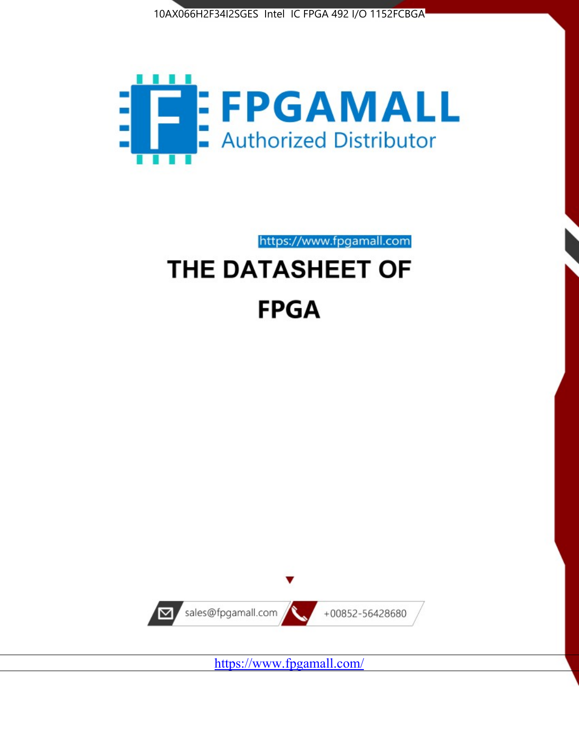



https://www.fpgamall.com

# THE DATASHEET OF **FPGA**



<https://www.fpgamall.com/>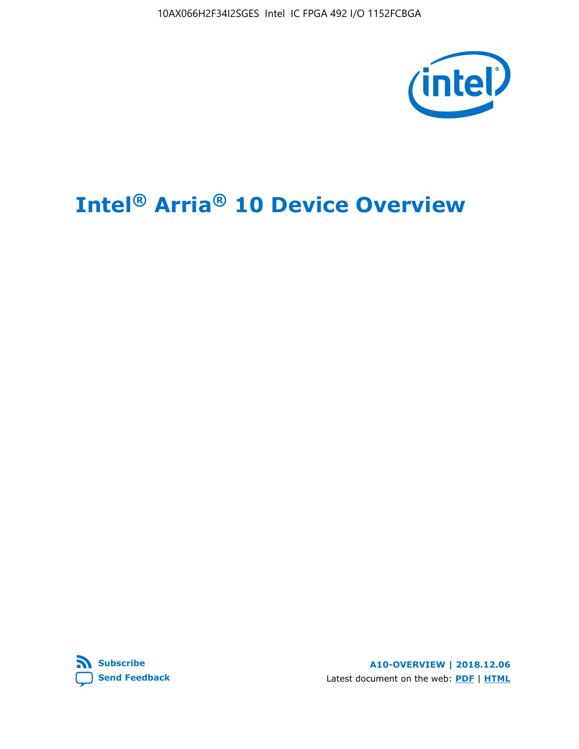10AX066H2F34I2SGES Intel IC FPGA 492 I/O 1152FCBGA



# **Intel® Arria® 10 Device Overview**



**A10-OVERVIEW | 2018.12.06** Latest document on the web: **[PDF](https://www.intel.com/content/dam/www/programmable/us/en/pdfs/literature/hb/arria-10/a10_overview.pdf)** | **[HTML](https://www.intel.com/content/www/us/en/programmable/documentation/sam1403480274650.html)**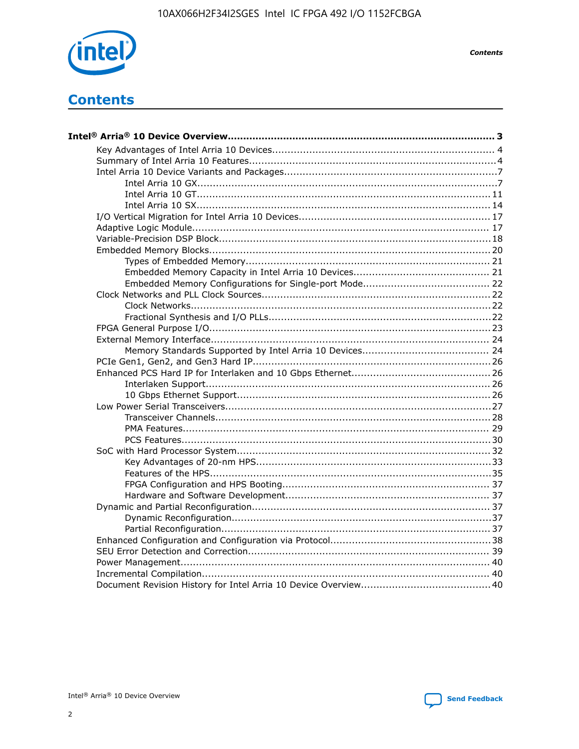

**Contents** 

# **Contents**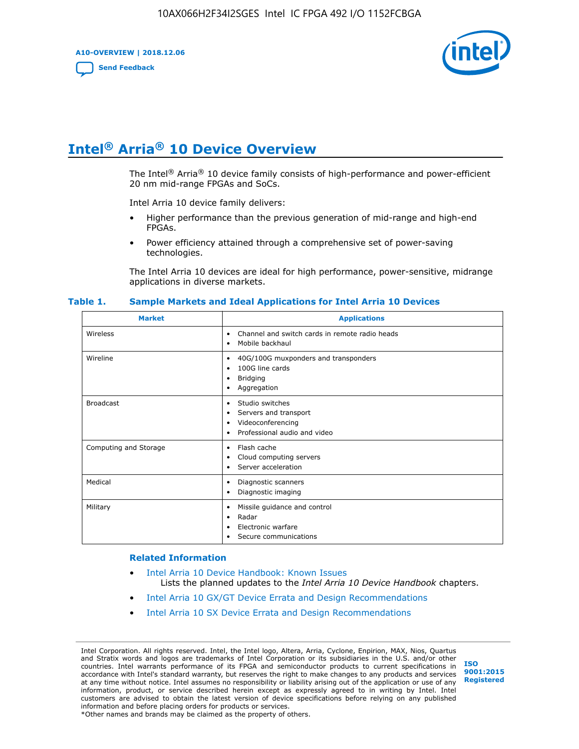**A10-OVERVIEW | 2018.12.06**

**[Send Feedback](mailto:FPGAtechdocfeedback@intel.com?subject=Feedback%20on%20Intel%20Arria%2010%20Device%20Overview%20(A10-OVERVIEW%202018.12.06)&body=We%20appreciate%20your%20feedback.%20In%20your%20comments,%20also%20specify%20the%20page%20number%20or%20paragraph.%20Thank%20you.)**



# **Intel® Arria® 10 Device Overview**

The Intel<sup>®</sup> Arria<sup>®</sup> 10 device family consists of high-performance and power-efficient 20 nm mid-range FPGAs and SoCs.

Intel Arria 10 device family delivers:

- Higher performance than the previous generation of mid-range and high-end FPGAs.
- Power efficiency attained through a comprehensive set of power-saving technologies.

The Intel Arria 10 devices are ideal for high performance, power-sensitive, midrange applications in diverse markets.

| <b>Market</b>         | <b>Applications</b>                                                                                               |
|-----------------------|-------------------------------------------------------------------------------------------------------------------|
| Wireless              | Channel and switch cards in remote radio heads<br>٠<br>Mobile backhaul<br>٠                                       |
| Wireline              | 40G/100G muxponders and transponders<br>٠<br>100G line cards<br>٠<br><b>Bridging</b><br>٠<br>Aggregation<br>٠     |
| <b>Broadcast</b>      | Studio switches<br>٠<br>Servers and transport<br>٠<br>Videoconferencing<br>٠<br>Professional audio and video<br>٠ |
| Computing and Storage | Flash cache<br>٠<br>Cloud computing servers<br>٠<br>Server acceleration<br>٠                                      |
| Medical               | Diagnostic scanners<br>٠<br>Diagnostic imaging<br>٠                                                               |
| Military              | Missile guidance and control<br>٠<br>Radar<br>٠<br>Electronic warfare<br>٠<br>Secure communications<br>٠          |

#### **Table 1. Sample Markets and Ideal Applications for Intel Arria 10 Devices**

#### **Related Information**

- [Intel Arria 10 Device Handbook: Known Issues](http://www.altera.com/support/kdb/solutions/rd07302013_646.html) Lists the planned updates to the *Intel Arria 10 Device Handbook* chapters.
- [Intel Arria 10 GX/GT Device Errata and Design Recommendations](https://www.intel.com/content/www/us/en/programmable/documentation/agz1493851706374.html#yqz1494433888646)
- [Intel Arria 10 SX Device Errata and Design Recommendations](https://www.intel.com/content/www/us/en/programmable/documentation/cru1462832385668.html#cru1462832558642)

Intel Corporation. All rights reserved. Intel, the Intel logo, Altera, Arria, Cyclone, Enpirion, MAX, Nios, Quartus and Stratix words and logos are trademarks of Intel Corporation or its subsidiaries in the U.S. and/or other countries. Intel warrants performance of its FPGA and semiconductor products to current specifications in accordance with Intel's standard warranty, but reserves the right to make changes to any products and services at any time without notice. Intel assumes no responsibility or liability arising out of the application or use of any information, product, or service described herein except as expressly agreed to in writing by Intel. Intel customers are advised to obtain the latest version of device specifications before relying on any published information and before placing orders for products or services. \*Other names and brands may be claimed as the property of others.

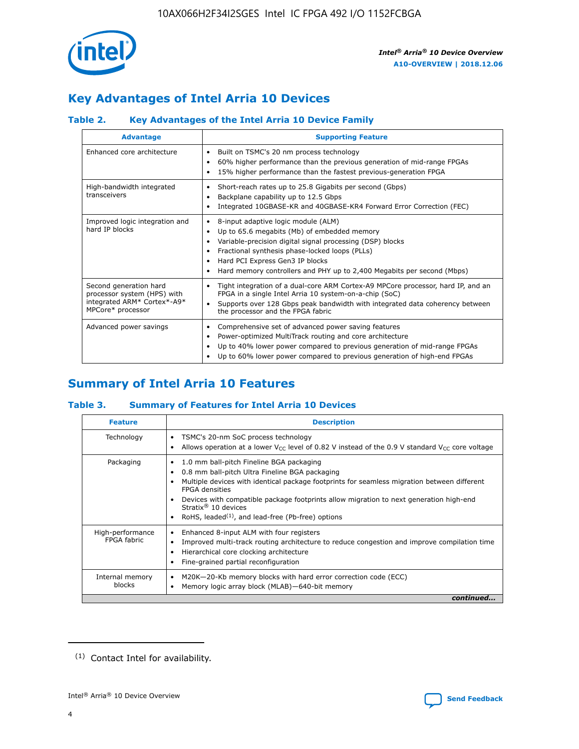

# **Key Advantages of Intel Arria 10 Devices**

## **Table 2. Key Advantages of the Intel Arria 10 Device Family**

| <b>Advantage</b>                                                                                          | <b>Supporting Feature</b>                                                                                                                                                                                                                                                                                                |
|-----------------------------------------------------------------------------------------------------------|--------------------------------------------------------------------------------------------------------------------------------------------------------------------------------------------------------------------------------------------------------------------------------------------------------------------------|
| Enhanced core architecture                                                                                | Built on TSMC's 20 nm process technology<br>٠<br>60% higher performance than the previous generation of mid-range FPGAs<br>٠<br>15% higher performance than the fastest previous-generation FPGA<br>٠                                                                                                                    |
| High-bandwidth integrated<br>transceivers                                                                 | Short-reach rates up to 25.8 Gigabits per second (Gbps)<br>٠<br>Backplane capability up to 12.5 Gbps<br>٠<br>Integrated 10GBASE-KR and 40GBASE-KR4 Forward Error Correction (FEC)<br>٠                                                                                                                                   |
| Improved logic integration and<br>hard IP blocks                                                          | 8-input adaptive logic module (ALM)<br>٠<br>Up to 65.6 megabits (Mb) of embedded memory<br>٠<br>Variable-precision digital signal processing (DSP) blocks<br>Fractional synthesis phase-locked loops (PLLs)<br>Hard PCI Express Gen3 IP blocks<br>Hard memory controllers and PHY up to 2,400 Megabits per second (Mbps) |
| Second generation hard<br>processor system (HPS) with<br>integrated ARM* Cortex*-A9*<br>MPCore* processor | Tight integration of a dual-core ARM Cortex-A9 MPCore processor, hard IP, and an<br>٠<br>FPGA in a single Intel Arria 10 system-on-a-chip (SoC)<br>Supports over 128 Gbps peak bandwidth with integrated data coherency between<br>$\bullet$<br>the processor and the FPGA fabric                                        |
| Advanced power savings                                                                                    | Comprehensive set of advanced power saving features<br>٠<br>Power-optimized MultiTrack routing and core architecture<br>٠<br>Up to 40% lower power compared to previous generation of mid-range FPGAs<br>٠<br>Up to 60% lower power compared to previous generation of high-end FPGAs                                    |

# **Summary of Intel Arria 10 Features**

## **Table 3. Summary of Features for Intel Arria 10 Devices**

| <b>Feature</b>                  | <b>Description</b>                                                                                                                                                                                                                                                                                                                                                                                       |
|---------------------------------|----------------------------------------------------------------------------------------------------------------------------------------------------------------------------------------------------------------------------------------------------------------------------------------------------------------------------------------------------------------------------------------------------------|
| Technology                      | TSMC's 20-nm SoC process technology<br>٠<br>Allows operation at a lower $V_{\text{CC}}$ level of 0.82 V instead of the 0.9 V standard $V_{\text{CC}}$ core voltage                                                                                                                                                                                                                                       |
| Packaging                       | 1.0 mm ball-pitch Fineline BGA packaging<br>0.8 mm ball-pitch Ultra Fineline BGA packaging<br>Multiple devices with identical package footprints for seamless migration between different<br><b>FPGA</b> densities<br>Devices with compatible package footprints allow migration to next generation high-end<br>Stratix $\mathcal{R}$ 10 devices<br>RoHS, leaded $(1)$ , and lead-free (Pb-free) options |
| High-performance<br>FPGA fabric | Enhanced 8-input ALM with four registers<br>٠<br>Improved multi-track routing architecture to reduce congestion and improve compilation time<br>Hierarchical core clocking architecture<br>Fine-grained partial reconfiguration                                                                                                                                                                          |
| Internal memory<br>blocks       | M20K-20-Kb memory blocks with hard error correction code (ECC)<br>Memory logic array block (MLAB)-640-bit memory                                                                                                                                                                                                                                                                                         |
|                                 | continued                                                                                                                                                                                                                                                                                                                                                                                                |



<sup>(1)</sup> Contact Intel for availability.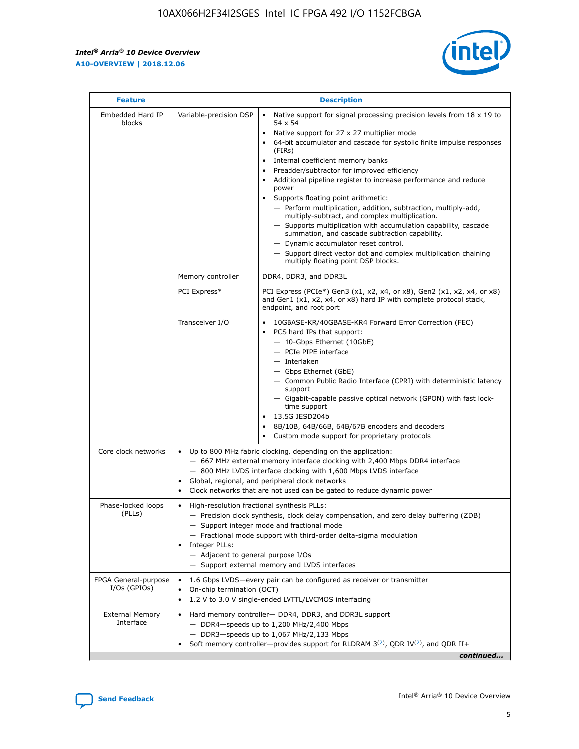r



| <b>Feature</b>                         | <b>Description</b>                                                                                             |                                                                                                                                                                                                                                                                                                                                                                                                                                                                                                                                                                                                                                                                                                                                                                                                                                                                  |  |  |  |  |  |
|----------------------------------------|----------------------------------------------------------------------------------------------------------------|------------------------------------------------------------------------------------------------------------------------------------------------------------------------------------------------------------------------------------------------------------------------------------------------------------------------------------------------------------------------------------------------------------------------------------------------------------------------------------------------------------------------------------------------------------------------------------------------------------------------------------------------------------------------------------------------------------------------------------------------------------------------------------------------------------------------------------------------------------------|--|--|--|--|--|
| Embedded Hard IP<br>blocks             | Variable-precision DSP                                                                                         | Native support for signal processing precision levels from $18 \times 19$ to<br>$\bullet$<br>54 x 54<br>Native support for 27 x 27 multiplier mode<br>$\bullet$<br>64-bit accumulator and cascade for systolic finite impulse responses<br>(FIRs)<br>Internal coefficient memory banks<br>$\bullet$<br>Preadder/subtractor for improved efficiency<br>Additional pipeline register to increase performance and reduce<br>power<br>Supports floating point arithmetic:<br>- Perform multiplication, addition, subtraction, multiply-add,<br>multiply-subtract, and complex multiplication.<br>- Supports multiplication with accumulation capability, cascade<br>summation, and cascade subtraction capability.<br>- Dynamic accumulator reset control.<br>- Support direct vector dot and complex multiplication chaining<br>multiply floating point DSP blocks. |  |  |  |  |  |
|                                        | Memory controller                                                                                              | DDR4, DDR3, and DDR3L                                                                                                                                                                                                                                                                                                                                                                                                                                                                                                                                                                                                                                                                                                                                                                                                                                            |  |  |  |  |  |
|                                        | PCI Express*                                                                                                   | PCI Express (PCIe*) Gen3 (x1, x2, x4, or x8), Gen2 (x1, x2, x4, or x8)<br>and Gen1 (x1, x2, x4, or x8) hard IP with complete protocol stack,<br>endpoint, and root port                                                                                                                                                                                                                                                                                                                                                                                                                                                                                                                                                                                                                                                                                          |  |  |  |  |  |
|                                        | Transceiver I/O                                                                                                | 10GBASE-KR/40GBASE-KR4 Forward Error Correction (FEC)<br>PCS hard IPs that support:<br>- 10-Gbps Ethernet (10GbE)<br>- PCIe PIPE interface<br>- Interlaken<br>- Gbps Ethernet (GbE)<br>- Common Public Radio Interface (CPRI) with deterministic latency<br>support<br>- Gigabit-capable passive optical network (GPON) with fast lock-<br>time support<br>13.5G JESD204b<br>$\bullet$<br>8B/10B, 64B/66B, 64B/67B encoders and decoders<br>Custom mode support for proprietary protocols                                                                                                                                                                                                                                                                                                                                                                        |  |  |  |  |  |
| Core clock networks                    | $\bullet$                                                                                                      | Up to 800 MHz fabric clocking, depending on the application:<br>- 667 MHz external memory interface clocking with 2,400 Mbps DDR4 interface<br>- 800 MHz LVDS interface clocking with 1,600 Mbps LVDS interface<br>Global, regional, and peripheral clock networks<br>Clock networks that are not used can be gated to reduce dynamic power                                                                                                                                                                                                                                                                                                                                                                                                                                                                                                                      |  |  |  |  |  |
| Phase-locked loops<br>(PLLs)           | High-resolution fractional synthesis PLLs:<br>$\bullet$<br>Integer PLLs:<br>- Adjacent to general purpose I/Os | - Precision clock synthesis, clock delay compensation, and zero delay buffering (ZDB)<br>- Support integer mode and fractional mode<br>- Fractional mode support with third-order delta-sigma modulation<br>- Support external memory and LVDS interfaces                                                                                                                                                                                                                                                                                                                                                                                                                                                                                                                                                                                                        |  |  |  |  |  |
| FPGA General-purpose<br>$I/Os$ (GPIOs) | On-chip termination (OCT)<br>٠<br>$\bullet$                                                                    | 1.6 Gbps LVDS-every pair can be configured as receiver or transmitter<br>1.2 V to 3.0 V single-ended LVTTL/LVCMOS interfacing                                                                                                                                                                                                                                                                                                                                                                                                                                                                                                                                                                                                                                                                                                                                    |  |  |  |  |  |
| <b>External Memory</b><br>Interface    | $\bullet$                                                                                                      | Hard memory controller- DDR4, DDR3, and DDR3L support<br>$-$ DDR4-speeds up to 1,200 MHz/2,400 Mbps<br>- DDR3-speeds up to 1,067 MHz/2,133 Mbps<br>Soft memory controller—provides support for RLDRAM $3^{(2)}$ , QDR IV $^{(2)}$ , and QDR II+<br>continued                                                                                                                                                                                                                                                                                                                                                                                                                                                                                                                                                                                                     |  |  |  |  |  |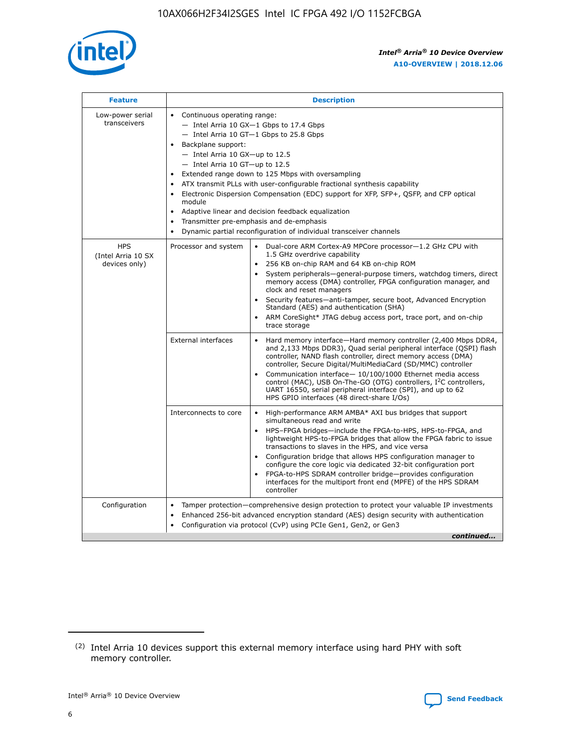

| <b>Feature</b>                                    | <b>Description</b>                                                                                                                                                                                                                                                                                                                                                                                                                                                                                                                                                                                                                         |  |  |  |  |  |  |  |
|---------------------------------------------------|--------------------------------------------------------------------------------------------------------------------------------------------------------------------------------------------------------------------------------------------------------------------------------------------------------------------------------------------------------------------------------------------------------------------------------------------------------------------------------------------------------------------------------------------------------------------------------------------------------------------------------------------|--|--|--|--|--|--|--|
| Low-power serial<br>transceivers                  | • Continuous operating range:<br>- Intel Arria 10 GX-1 Gbps to 17.4 Gbps<br>- Intel Arria 10 GT-1 Gbps to 25.8 Gbps<br>Backplane support:<br>$-$ Intel Arria 10 GX-up to 12.5<br>- Intel Arria 10 GT-up to 12.5<br>Extended range down to 125 Mbps with oversampling<br>ATX transmit PLLs with user-configurable fractional synthesis capability<br>Electronic Dispersion Compensation (EDC) support for XFP, SFP+, QSFP, and CFP optical<br>module<br>• Adaptive linear and decision feedback equalization<br>Transmitter pre-emphasis and de-emphasis<br>$\bullet$<br>Dynamic partial reconfiguration of individual transceiver channels |  |  |  |  |  |  |  |
| <b>HPS</b><br>(Intel Arria 10 SX<br>devices only) | Dual-core ARM Cortex-A9 MPCore processor-1.2 GHz CPU with<br>Processor and system<br>$\bullet$<br>1.5 GHz overdrive capability<br>256 KB on-chip RAM and 64 KB on-chip ROM<br>System peripherals-general-purpose timers, watchdog timers, direct<br>memory access (DMA) controller, FPGA configuration manager, and<br>clock and reset managers<br>Security features-anti-tamper, secure boot, Advanced Encryption<br>$\bullet$<br>Standard (AES) and authentication (SHA)<br>ARM CoreSight* JTAG debug access port, trace port, and on-chip<br>trace storage                                                                              |  |  |  |  |  |  |  |
|                                                   | <b>External interfaces</b><br>Hard memory interface-Hard memory controller (2,400 Mbps DDR4,<br>$\bullet$<br>and 2,133 Mbps DDR3), Quad serial peripheral interface (QSPI) flash<br>controller, NAND flash controller, direct memory access (DMA)<br>controller, Secure Digital/MultiMediaCard (SD/MMC) controller<br>Communication interface-10/100/1000 Ethernet media access<br>$\bullet$<br>control (MAC), USB On-The-GO (OTG) controllers, I <sup>2</sup> C controllers,<br>UART 16550, serial peripheral interface (SPI), and up to 62<br>HPS GPIO interfaces (48 direct-share I/Os)                                                 |  |  |  |  |  |  |  |
|                                                   | High-performance ARM AMBA* AXI bus bridges that support<br>Interconnects to core<br>$\bullet$<br>simultaneous read and write<br>HPS-FPGA bridges-include the FPGA-to-HPS, HPS-to-FPGA, and<br>$\bullet$<br>lightweight HPS-to-FPGA bridges that allow the FPGA fabric to issue<br>transactions to slaves in the HPS, and vice versa<br>Configuration bridge that allows HPS configuration manager to<br>configure the core logic via dedicated 32-bit configuration port<br>FPGA-to-HPS SDRAM controller bridge-provides configuration<br>interfaces for the multiport front end (MPFE) of the HPS SDRAM<br>controller                     |  |  |  |  |  |  |  |
| Configuration                                     | Tamper protection—comprehensive design protection to protect your valuable IP investments<br>Enhanced 256-bit advanced encryption standard (AES) design security with authentication<br>٠<br>Configuration via protocol (CvP) using PCIe Gen1, Gen2, or Gen3<br>continued                                                                                                                                                                                                                                                                                                                                                                  |  |  |  |  |  |  |  |

<sup>(2)</sup> Intel Arria 10 devices support this external memory interface using hard PHY with soft memory controller.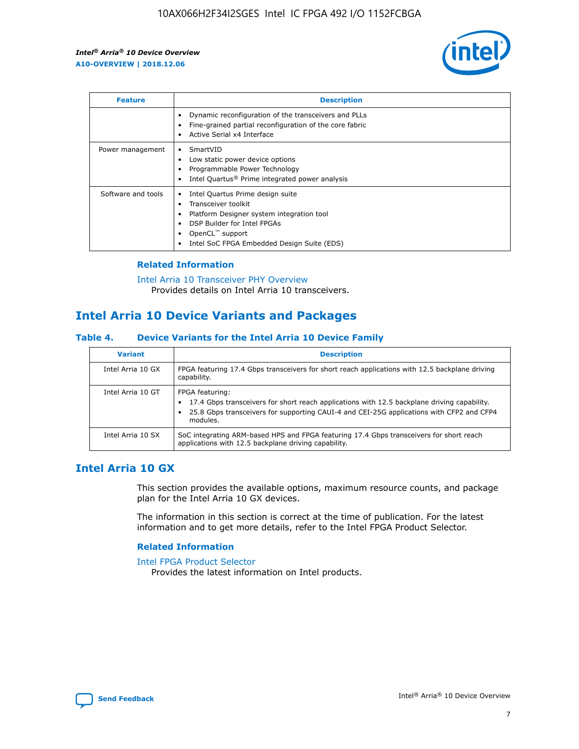

| <b>Feature</b>     | <b>Description</b>                                                                                                                                                                                               |
|--------------------|------------------------------------------------------------------------------------------------------------------------------------------------------------------------------------------------------------------|
|                    | Dynamic reconfiguration of the transceivers and PLLs<br>Fine-grained partial reconfiguration of the core fabric<br>Active Serial x4 Interface<br>$\bullet$                                                       |
| Power management   | SmartVID<br>Low static power device options<br>Programmable Power Technology<br>Intel Quartus <sup>®</sup> Prime integrated power analysis                                                                       |
| Software and tools | Intel Quartus Prime design suite<br>Transceiver toolkit<br>Platform Designer system integration tool<br>DSP Builder for Intel FPGAs<br>OpenCL <sup>"</sup> support<br>Intel SoC FPGA Embedded Design Suite (EDS) |

## **Related Information**

[Intel Arria 10 Transceiver PHY Overview](https://www.intel.com/content/www/us/en/programmable/documentation/nik1398707230472.html#nik1398706768037) Provides details on Intel Arria 10 transceivers.

## **Intel Arria 10 Device Variants and Packages**

#### **Table 4. Device Variants for the Intel Arria 10 Device Family**

| <b>Variant</b>    | <b>Description</b>                                                                                                                                                                                                     |
|-------------------|------------------------------------------------------------------------------------------------------------------------------------------------------------------------------------------------------------------------|
| Intel Arria 10 GX | FPGA featuring 17.4 Gbps transceivers for short reach applications with 12.5 backplane driving<br>capability.                                                                                                          |
| Intel Arria 10 GT | FPGA featuring:<br>17.4 Gbps transceivers for short reach applications with 12.5 backplane driving capability.<br>25.8 Gbps transceivers for supporting CAUI-4 and CEI-25G applications with CFP2 and CFP4<br>modules. |
| Intel Arria 10 SX | SoC integrating ARM-based HPS and FPGA featuring 17.4 Gbps transceivers for short reach<br>applications with 12.5 backplane driving capability.                                                                        |

## **Intel Arria 10 GX**

This section provides the available options, maximum resource counts, and package plan for the Intel Arria 10 GX devices.

The information in this section is correct at the time of publication. For the latest information and to get more details, refer to the Intel FPGA Product Selector.

#### **Related Information**

#### [Intel FPGA Product Selector](http://www.altera.com/products/selector/psg-selector.html) Provides the latest information on Intel products.

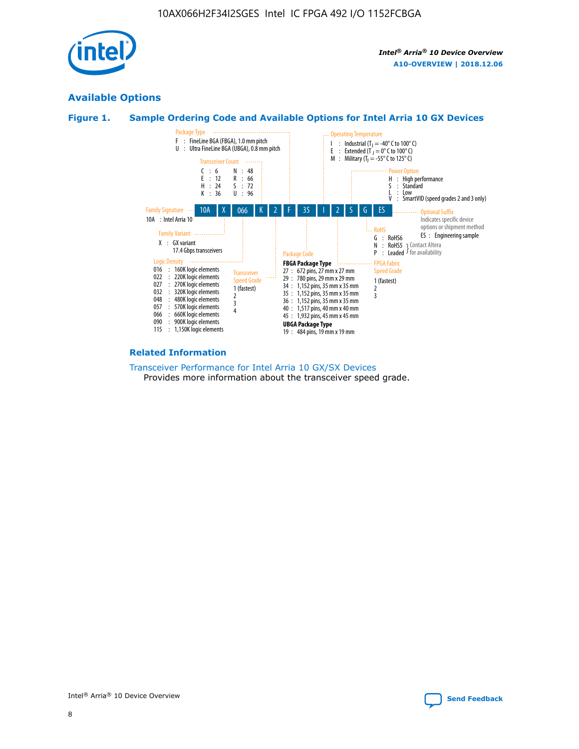

## **Available Options**

## **Figure 1. Sample Ordering Code and Available Options for Intel Arria 10 GX Devices**



#### **Related Information**

#### [Transceiver Performance for Intel Arria 10 GX/SX Devices](https://www.intel.com/content/www/us/en/programmable/documentation/mcn1413182292568.html#mcn1413213965502) Provides more information about the transceiver speed grade.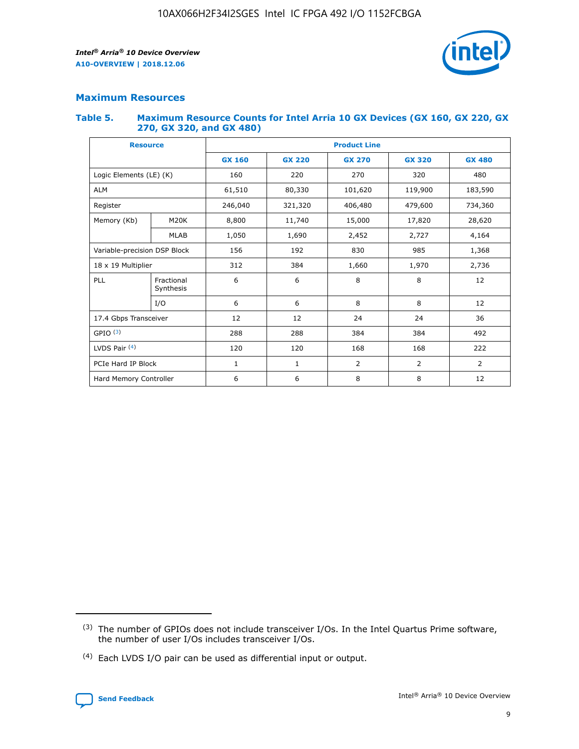

## **Maximum Resources**

#### **Table 5. Maximum Resource Counts for Intel Arria 10 GX Devices (GX 160, GX 220, GX 270, GX 320, and GX 480)**

| <b>Resource</b>              |                         | <b>Product Line</b> |                                                 |                |                |                |  |  |  |
|------------------------------|-------------------------|---------------------|-------------------------------------------------|----------------|----------------|----------------|--|--|--|
|                              |                         | <b>GX 160</b>       | <b>GX 220</b><br><b>GX 270</b><br><b>GX 320</b> |                |                | <b>GX 480</b>  |  |  |  |
| Logic Elements (LE) (K)      |                         | 160                 | 220                                             | 270            | 320            | 480            |  |  |  |
| <b>ALM</b>                   |                         | 61,510              | 80,330                                          | 101,620        | 119,900        | 183,590        |  |  |  |
| Register                     |                         | 246,040             | 321,320<br>406,480                              |                | 479,600        | 734,360        |  |  |  |
| Memory (Kb)                  | M <sub>20</sub> K       | 8,800               | 11,740                                          | 15,000         | 17,820         | 28,620         |  |  |  |
|                              | <b>MLAB</b>             | 1,050               | 1,690                                           | 2,452          | 2,727          | 4,164          |  |  |  |
| Variable-precision DSP Block |                         | 156                 | 192                                             | 830            | 985            |                |  |  |  |
| 18 x 19 Multiplier           |                         | 312                 | 384                                             | 1,970<br>1,660 |                | 2,736          |  |  |  |
| PLL                          | Fractional<br>Synthesis | 6                   | 6                                               | 8              | 8              | 12             |  |  |  |
|                              | I/O                     | 6                   | 6                                               | 8              | 8              | 12             |  |  |  |
| 17.4 Gbps Transceiver        |                         | 12                  | 12                                              | 24             | 24             | 36             |  |  |  |
| GPIO <sup>(3)</sup>          |                         | 288                 | 288                                             | 384<br>384     |                | 492            |  |  |  |
| LVDS Pair $(4)$              |                         | 120                 | 120                                             | 168            | 168            | 222            |  |  |  |
| PCIe Hard IP Block           |                         | 1                   | 1                                               | 2              | $\overline{2}$ | $\overline{2}$ |  |  |  |
| Hard Memory Controller       |                         | 6                   | 6                                               | 8              | 8              |                |  |  |  |

<sup>(4)</sup> Each LVDS I/O pair can be used as differential input or output.



<sup>(3)</sup> The number of GPIOs does not include transceiver I/Os. In the Intel Quartus Prime software, the number of user I/Os includes transceiver I/Os.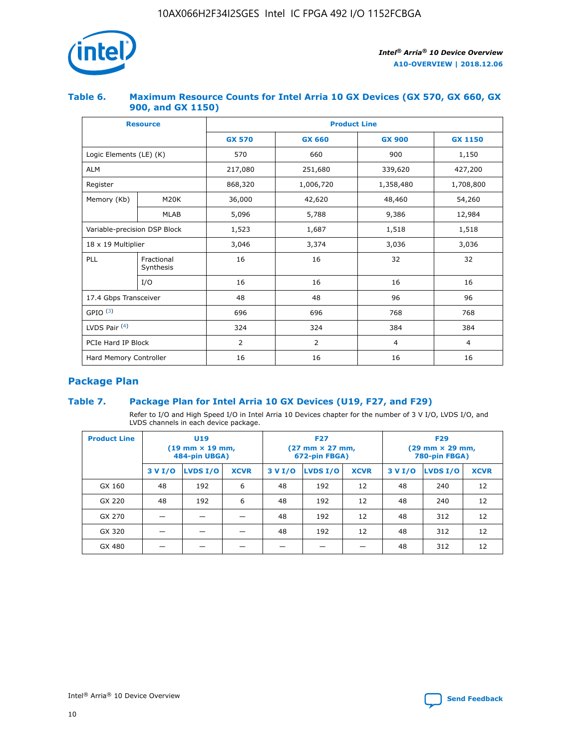

## **Table 6. Maximum Resource Counts for Intel Arria 10 GX Devices (GX 570, GX 660, GX 900, and GX 1150)**

|                              | <b>Resource</b>         | <b>Product Line</b> |                |                |                |  |  |  |
|------------------------------|-------------------------|---------------------|----------------|----------------|----------------|--|--|--|
|                              |                         | <b>GX 570</b>       | <b>GX 660</b>  | <b>GX 900</b>  | <b>GX 1150</b> |  |  |  |
| Logic Elements (LE) (K)      |                         | 570                 | 660            | 900            | 1,150          |  |  |  |
| <b>ALM</b>                   |                         | 217,080             | 251,680        | 339,620        | 427,200        |  |  |  |
| Register                     |                         | 868,320             | 1,006,720      |                | 1,708,800      |  |  |  |
| Memory (Kb)                  | <b>M20K</b>             | 36,000              | 42,620         | 48,460         | 54,260         |  |  |  |
|                              | <b>MLAB</b>             | 5,096               | 5,788<br>9,386 |                | 12,984         |  |  |  |
| Variable-precision DSP Block |                         | 1,523               | 1,687          | 1,518          | 1,518          |  |  |  |
| $18 \times 19$ Multiplier    |                         | 3,046               | 3,374          | 3,036          | 3,036          |  |  |  |
| PLL                          | Fractional<br>Synthesis | 16                  | 16             | 32             | 32             |  |  |  |
|                              | I/O                     | 16                  | 16             | 16             | 16             |  |  |  |
| 17.4 Gbps Transceiver        |                         | 48                  | 48<br>96       |                | 96             |  |  |  |
| GPIO <sup>(3)</sup>          |                         | 696                 | 696            | 768            | 768            |  |  |  |
| LVDS Pair $(4)$              |                         | 324                 | 324            | 384            | 384            |  |  |  |
| PCIe Hard IP Block           |                         | 2                   | $\overline{2}$ | $\overline{4}$ | 4              |  |  |  |
| Hard Memory Controller       |                         | 16                  | 16             | 16             | 16             |  |  |  |

## **Package Plan**

## **Table 7. Package Plan for Intel Arria 10 GX Devices (U19, F27, and F29)**

Refer to I/O and High Speed I/O in Intel Arria 10 Devices chapter for the number of 3 V I/O, LVDS I/O, and LVDS channels in each device package.

| <b>Product Line</b> | U <sub>19</sub><br>$(19 \text{ mm} \times 19 \text{ mm})$<br>484-pin UBGA) |          |             | <b>F27</b><br>(27 mm × 27 mm,<br>672-pin FBGA) |                 |             | <b>F29</b><br>(29 mm × 29 mm,<br>780-pin FBGA) |          |             |  |
|---------------------|----------------------------------------------------------------------------|----------|-------------|------------------------------------------------|-----------------|-------------|------------------------------------------------|----------|-------------|--|
|                     | 3 V I/O                                                                    | LVDS I/O | <b>XCVR</b> | 3 V I/O                                        | <b>LVDS I/O</b> | <b>XCVR</b> | 3 V I/O                                        | LVDS I/O | <b>XCVR</b> |  |
| GX 160              | 48                                                                         | 192      | 6           | 48                                             | 192             | 12          | 48                                             | 240      | 12          |  |
| GX 220              | 48                                                                         | 192      | 6           | 48                                             | 192             | 12          | 48                                             | 240      | 12          |  |
| GX 270              |                                                                            |          |             | 48                                             | 192             | 12          | 48                                             | 312      | 12          |  |
| GX 320              |                                                                            |          |             | 48                                             | 192             | 12          | 48                                             | 312      | 12          |  |
| GX 480              |                                                                            |          |             |                                                |                 |             | 48                                             | 312      | 12          |  |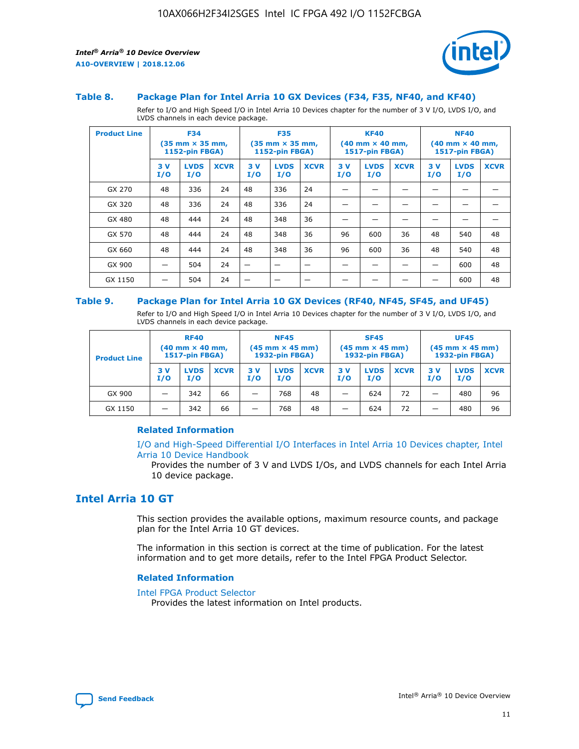

#### **Table 8. Package Plan for Intel Arria 10 GX Devices (F34, F35, NF40, and KF40)**

Refer to I/O and High Speed I/O in Intel Arria 10 Devices chapter for the number of 3 V I/O, LVDS I/O, and LVDS channels in each device package.

| <b>Product Line</b> | <b>F34</b><br>$(35 \text{ mm} \times 35 \text{ mm})$<br>1152-pin FBGA) |                    | <b>F35</b><br>$(35 \text{ mm} \times 35 \text{ mm})$<br><b>1152-pin FBGA)</b> |           | <b>KF40</b><br>$(40 \text{ mm} \times 40 \text{ mm})$<br>1517-pin FBGA) |             |            | <b>NF40</b><br>$(40 \text{ mm} \times 40 \text{ mm})$<br><b>1517-pin FBGA)</b> |             |            |                    |             |
|---------------------|------------------------------------------------------------------------|--------------------|-------------------------------------------------------------------------------|-----------|-------------------------------------------------------------------------|-------------|------------|--------------------------------------------------------------------------------|-------------|------------|--------------------|-------------|
|                     | 3V<br>I/O                                                              | <b>LVDS</b><br>I/O | <b>XCVR</b>                                                                   | 3V<br>I/O | <b>LVDS</b><br>I/O                                                      | <b>XCVR</b> | 3 V<br>I/O | <b>LVDS</b><br>I/O                                                             | <b>XCVR</b> | 3 V<br>I/O | <b>LVDS</b><br>I/O | <b>XCVR</b> |
| GX 270              | 48                                                                     | 336                | 24                                                                            | 48        | 336                                                                     | 24          |            |                                                                                |             |            |                    |             |
| GX 320              | 48                                                                     | 336                | 24                                                                            | 48        | 336                                                                     | 24          |            |                                                                                |             |            |                    |             |
| GX 480              | 48                                                                     | 444                | 24                                                                            | 48        | 348                                                                     | 36          |            |                                                                                |             |            |                    |             |
| GX 570              | 48                                                                     | 444                | 24                                                                            | 48        | 348                                                                     | 36          | 96         | 600                                                                            | 36          | 48         | 540                | 48          |
| GX 660              | 48                                                                     | 444                | 24                                                                            | 48        | 348                                                                     | 36          | 96         | 600                                                                            | 36          | 48         | 540                | 48          |
| GX 900              |                                                                        | 504                | 24                                                                            | -         |                                                                         |             |            |                                                                                |             |            | 600                | 48          |
| GX 1150             |                                                                        | 504                | 24                                                                            |           |                                                                         |             |            |                                                                                |             |            | 600                | 48          |

#### **Table 9. Package Plan for Intel Arria 10 GX Devices (RF40, NF45, SF45, and UF45)**

Refer to I/O and High Speed I/O in Intel Arria 10 Devices chapter for the number of 3 V I/O, LVDS I/O, and LVDS channels in each device package.

| <b>Product Line</b> | <b>RF40</b><br>$(40$ mm $\times$ 40 mm,<br>1517-pin FBGA) |                    |             | <b>NF45</b><br>$(45 \text{ mm} \times 45 \text{ mm})$<br><b>1932-pin FBGA)</b> |                    |             | <b>SF45</b><br>$(45 \text{ mm} \times 45 \text{ mm})$<br><b>1932-pin FBGA)</b> |                    |             | <b>UF45</b><br>$(45 \text{ mm} \times 45 \text{ mm})$<br><b>1932-pin FBGA)</b> |                    |             |
|---------------------|-----------------------------------------------------------|--------------------|-------------|--------------------------------------------------------------------------------|--------------------|-------------|--------------------------------------------------------------------------------|--------------------|-------------|--------------------------------------------------------------------------------|--------------------|-------------|
|                     | 3V<br>I/O                                                 | <b>LVDS</b><br>I/O | <b>XCVR</b> | 3 V<br>I/O                                                                     | <b>LVDS</b><br>I/O | <b>XCVR</b> | 3 V<br>I/O                                                                     | <b>LVDS</b><br>I/O | <b>XCVR</b> | 3V<br>I/O                                                                      | <b>LVDS</b><br>I/O | <b>XCVR</b> |
| GX 900              |                                                           | 342                | 66          | _                                                                              | 768                | 48          |                                                                                | 624                | 72          |                                                                                | 480                | 96          |
| GX 1150             |                                                           | 342                | 66          | _                                                                              | 768                | 48          |                                                                                | 624                | 72          |                                                                                | 480                | 96          |

## **Related Information**

[I/O and High-Speed Differential I/O Interfaces in Intel Arria 10 Devices chapter, Intel](https://www.intel.com/content/www/us/en/programmable/documentation/sam1403482614086.html#sam1403482030321) [Arria 10 Device Handbook](https://www.intel.com/content/www/us/en/programmable/documentation/sam1403482614086.html#sam1403482030321)

Provides the number of 3 V and LVDS I/Os, and LVDS channels for each Intel Arria 10 device package.

## **Intel Arria 10 GT**

This section provides the available options, maximum resource counts, and package plan for the Intel Arria 10 GT devices.

The information in this section is correct at the time of publication. For the latest information and to get more details, refer to the Intel FPGA Product Selector.

#### **Related Information**

#### [Intel FPGA Product Selector](http://www.altera.com/products/selector/psg-selector.html)

Provides the latest information on Intel products.

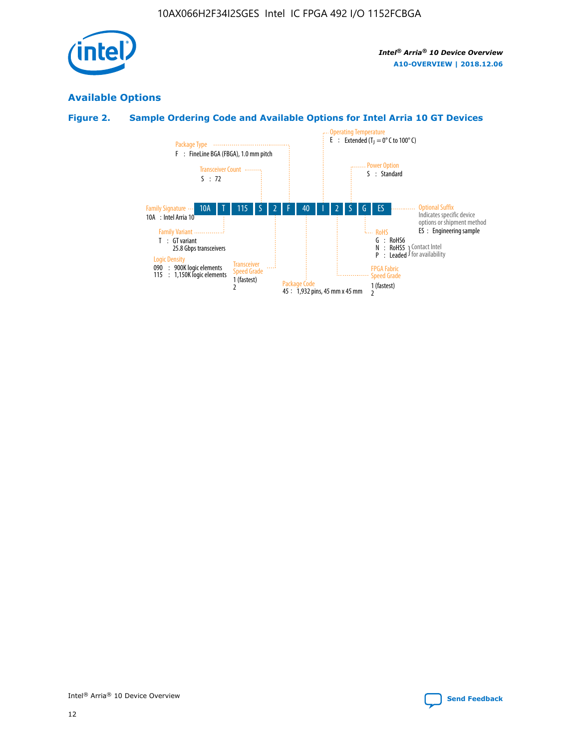

## **Available Options**

## **Figure 2. Sample Ordering Code and Available Options for Intel Arria 10 GT Devices**

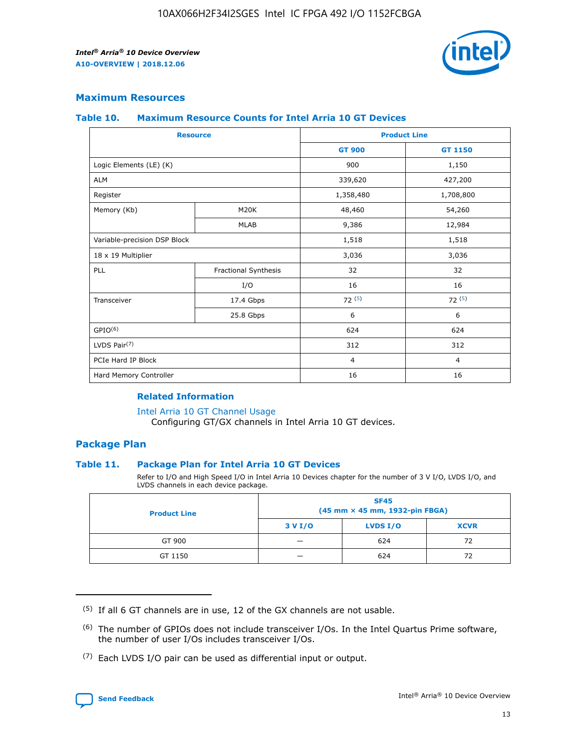

## **Maximum Resources**

#### **Table 10. Maximum Resource Counts for Intel Arria 10 GT Devices**

| <b>Resource</b>              |                      |                | <b>Product Line</b> |  |
|------------------------------|----------------------|----------------|---------------------|--|
|                              |                      | <b>GT 900</b>  | GT 1150             |  |
| Logic Elements (LE) (K)      |                      | 900            | 1,150               |  |
| <b>ALM</b>                   |                      | 339,620        | 427,200             |  |
| Register                     |                      | 1,358,480      | 1,708,800           |  |
| Memory (Kb)                  | M20K                 | 48,460         | 54,260              |  |
|                              | <b>MLAB</b>          | 9,386          | 12,984              |  |
| Variable-precision DSP Block |                      | 1,518          | 1,518               |  |
| 18 x 19 Multiplier           |                      | 3,036          | 3,036               |  |
| <b>PLL</b>                   | Fractional Synthesis | 32             | 32                  |  |
|                              | I/O                  | 16             | 16                  |  |
| Transceiver                  | 17.4 Gbps            | 72(5)          | 72(5)               |  |
|                              | 25.8 Gbps            | 6              | 6                   |  |
| GPIO <sup>(6)</sup>          |                      | 624            | 624                 |  |
| LVDS Pair $(7)$              |                      | 312            | 312                 |  |
| PCIe Hard IP Block           |                      | $\overline{4}$ | $\overline{4}$      |  |
| Hard Memory Controller       |                      | 16             | 16                  |  |

## **Related Information**

#### [Intel Arria 10 GT Channel Usage](https://www.intel.com/content/www/us/en/programmable/documentation/nik1398707230472.html#nik1398707008178)

Configuring GT/GX channels in Intel Arria 10 GT devices.

## **Package Plan**

### **Table 11. Package Plan for Intel Arria 10 GT Devices**

Refer to I/O and High Speed I/O in Intel Arria 10 Devices chapter for the number of 3 V I/O, LVDS I/O, and LVDS channels in each device package.

| <b>Product Line</b> | <b>SF45</b><br>(45 mm × 45 mm, 1932-pin FBGA) |                 |             |  |  |  |
|---------------------|-----------------------------------------------|-----------------|-------------|--|--|--|
|                     | 3 V I/O                                       | <b>LVDS I/O</b> | <b>XCVR</b> |  |  |  |
| GT 900              |                                               | 624             | 72          |  |  |  |
| GT 1150             |                                               | 624             | 72          |  |  |  |

<sup>(7)</sup> Each LVDS I/O pair can be used as differential input or output.



 $(5)$  If all 6 GT channels are in use, 12 of the GX channels are not usable.

<sup>(6)</sup> The number of GPIOs does not include transceiver I/Os. In the Intel Quartus Prime software, the number of user I/Os includes transceiver I/Os.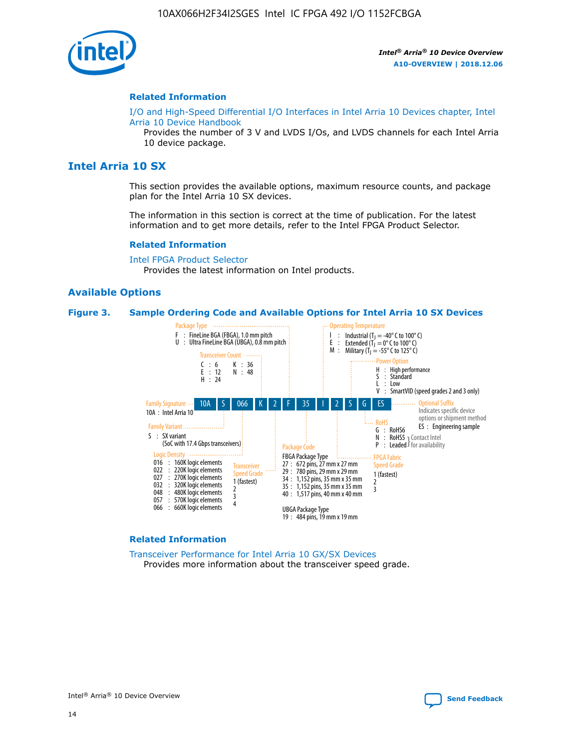

#### **Related Information**

[I/O and High-Speed Differential I/O Interfaces in Intel Arria 10 Devices chapter, Intel](https://www.intel.com/content/www/us/en/programmable/documentation/sam1403482614086.html#sam1403482030321) [Arria 10 Device Handbook](https://www.intel.com/content/www/us/en/programmable/documentation/sam1403482614086.html#sam1403482030321)

Provides the number of 3 V and LVDS I/Os, and LVDS channels for each Intel Arria 10 device package.

## **Intel Arria 10 SX**

This section provides the available options, maximum resource counts, and package plan for the Intel Arria 10 SX devices.

The information in this section is correct at the time of publication. For the latest information and to get more details, refer to the Intel FPGA Product Selector.

#### **Related Information**

[Intel FPGA Product Selector](http://www.altera.com/products/selector/psg-selector.html) Provides the latest information on Intel products.

#### **Available Options**

#### **Figure 3. Sample Ordering Code and Available Options for Intel Arria 10 SX Devices**



#### **Related Information**

[Transceiver Performance for Intel Arria 10 GX/SX Devices](https://www.intel.com/content/www/us/en/programmable/documentation/mcn1413182292568.html#mcn1413213965502) Provides more information about the transceiver speed grade.

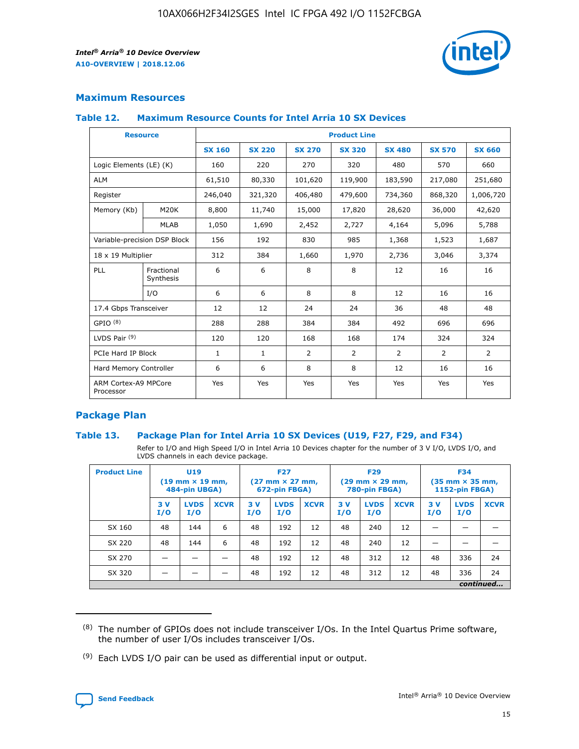

## **Maximum Resources**

### **Table 12. Maximum Resource Counts for Intel Arria 10 SX Devices**

|                                   | <b>Resource</b>         | <b>Product Line</b> |               |                |                |                |                |                |  |  |  |
|-----------------------------------|-------------------------|---------------------|---------------|----------------|----------------|----------------|----------------|----------------|--|--|--|
|                                   |                         | <b>SX 160</b>       | <b>SX 220</b> | <b>SX 270</b>  | <b>SX 320</b>  | <b>SX 480</b>  | <b>SX 570</b>  | <b>SX 660</b>  |  |  |  |
| Logic Elements (LE) (K)           |                         | 160                 | 220           | 270            | 320            | 480            | 570            | 660            |  |  |  |
| <b>ALM</b>                        |                         | 61,510              | 80,330        | 101,620        | 119,900        | 183,590        | 217,080        | 251,680        |  |  |  |
| Register                          |                         | 246,040             | 321,320       | 406,480        | 479,600        | 734,360        | 868,320        | 1,006,720      |  |  |  |
| Memory (Kb)                       | M <sub>20</sub> K       | 8,800               | 11,740        | 15,000         | 17,820         | 28,620         | 36,000         | 42,620         |  |  |  |
|                                   | <b>MLAB</b>             | 1,050               | 1,690         | 2,452          | 2,727          | 4,164          | 5,096          | 5,788          |  |  |  |
| Variable-precision DSP Block      |                         | 156                 | 192           | 830            | 985            | 1,368          | 1,523          | 1,687          |  |  |  |
| 18 x 19 Multiplier                |                         | 312                 | 384           | 1,660          | 1,970          | 2,736          | 3,046          | 3,374          |  |  |  |
| <b>PLL</b>                        | Fractional<br>Synthesis | 6                   | 6             | 8              | 8              | 12             | 16             | 16             |  |  |  |
|                                   | I/O                     | 6                   | 6             | 8              | 8              | 12             | 16             | 16             |  |  |  |
| 17.4 Gbps Transceiver             |                         | 12                  | 12            | 24             | 24             | 36             | 48             | 48             |  |  |  |
| GPIO <sup>(8)</sup>               |                         | 288                 | 288           | 384            | 384            | 492            | 696            | 696            |  |  |  |
| LVDS Pair $(9)$                   |                         | 120                 | 120           | 168            | 168            | 174            | 324            | 324            |  |  |  |
| PCIe Hard IP Block                |                         | $\mathbf{1}$        | $\mathbf{1}$  | $\overline{2}$ | $\overline{2}$ | $\overline{2}$ | $\overline{2}$ | $\overline{2}$ |  |  |  |
| Hard Memory Controller            |                         | 6                   | 6             | 8              | 8              | 12             | 16             | 16             |  |  |  |
| ARM Cortex-A9 MPCore<br>Processor |                         | Yes                 | Yes           | Yes            | Yes            | Yes            | Yes            | Yes            |  |  |  |

## **Package Plan**

### **Table 13. Package Plan for Intel Arria 10 SX Devices (U19, F27, F29, and F34)**

Refer to I/O and High Speed I/O in Intel Arria 10 Devices chapter for the number of 3 V I/O, LVDS I/O, and LVDS channels in each device package.

| <b>Product Line</b> | U19<br>$(19 \text{ mm} \times 19 \text{ mm})$<br>484-pin UBGA) |                    | <b>F27</b><br>$(27 \text{ mm} \times 27 \text{ mm})$<br>672-pin FBGA) |           | <b>F29</b><br>$(29 \text{ mm} \times 29 \text{ mm})$<br>780-pin FBGA) |             |            | <b>F34</b><br>$(35 \text{ mm} \times 35 \text{ mm})$<br><b>1152-pin FBGA)</b> |             |           |                    |             |
|---------------------|----------------------------------------------------------------|--------------------|-----------------------------------------------------------------------|-----------|-----------------------------------------------------------------------|-------------|------------|-------------------------------------------------------------------------------|-------------|-----------|--------------------|-------------|
|                     | 3V<br>I/O                                                      | <b>LVDS</b><br>I/O | <b>XCVR</b>                                                           | 3V<br>I/O | <b>LVDS</b><br>I/O                                                    | <b>XCVR</b> | 3 V<br>I/O | <b>LVDS</b><br>I/O                                                            | <b>XCVR</b> | 3V<br>I/O | <b>LVDS</b><br>I/O | <b>XCVR</b> |
| SX 160              | 48                                                             | 144                | 6                                                                     | 48        | 192                                                                   | 12          | 48         | 240                                                                           | 12          | –         |                    |             |
| SX 220              | 48                                                             | 144                | 6                                                                     | 48        | 192                                                                   | 12          | 48         | 240                                                                           | 12          |           |                    |             |
| SX 270              |                                                                |                    |                                                                       | 48        | 192                                                                   | 12          | 48         | 312                                                                           | 12          | 48        | 336                | 24          |
| SX 320              |                                                                |                    |                                                                       | 48        | 192                                                                   | 12          | 48         | 312                                                                           | 12          | 48        | 336                | 24          |
|                     |                                                                |                    |                                                                       |           |                                                                       |             |            |                                                                               |             |           |                    | continued   |

 $(8)$  The number of GPIOs does not include transceiver I/Os. In the Intel Quartus Prime software, the number of user I/Os includes transceiver I/Os.

 $(9)$  Each LVDS I/O pair can be used as differential input or output.

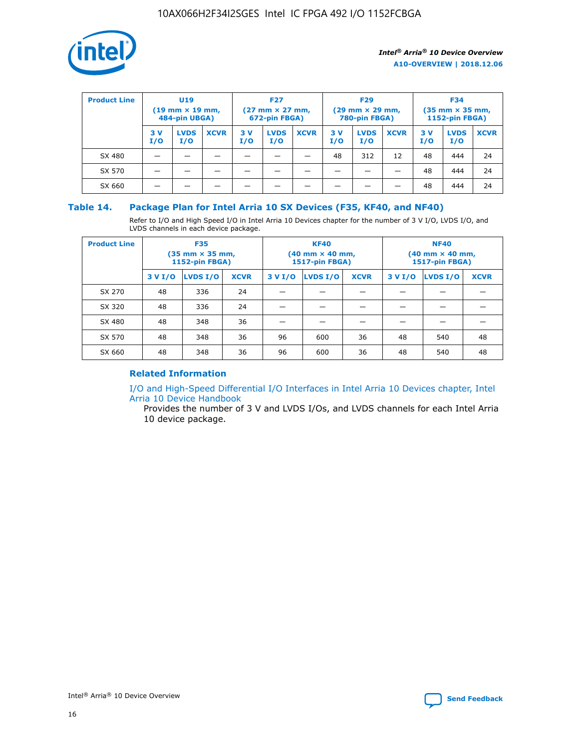

| <b>Product Line</b> | U <sub>19</sub><br>$(19 \text{ mm} \times 19 \text{ mm})$<br>484-pin UBGA) |                    | <b>F27</b><br>$(27 \text{ mm} \times 27 \text{ mm})$<br>672-pin FBGA) |           | <b>F29</b><br>$(29 \text{ mm} \times 29 \text{ mm})$<br>780-pin FBGA) |             |           | <b>F34</b><br>$(35 \text{ mm} \times 35 \text{ mm})$<br><b>1152-pin FBGA)</b> |             |           |                    |             |
|---------------------|----------------------------------------------------------------------------|--------------------|-----------------------------------------------------------------------|-----------|-----------------------------------------------------------------------|-------------|-----------|-------------------------------------------------------------------------------|-------------|-----------|--------------------|-------------|
|                     | 3 V<br>I/O                                                                 | <b>LVDS</b><br>I/O | <b>XCVR</b>                                                           | 3V<br>I/O | <b>LVDS</b><br>I/O                                                    | <b>XCVR</b> | 3V<br>I/O | <b>LVDS</b><br>I/O                                                            | <b>XCVR</b> | 3V<br>I/O | <b>LVDS</b><br>I/O | <b>XCVR</b> |
| SX 480              |                                                                            |                    |                                                                       |           |                                                                       |             | 48        | 312                                                                           | 12          | 48        | 444                | 24          |
| SX 570              |                                                                            |                    |                                                                       |           |                                                                       |             |           |                                                                               |             | 48        | 444                | 24          |
| SX 660              |                                                                            |                    |                                                                       |           |                                                                       |             |           |                                                                               |             | 48        | 444                | 24          |

## **Table 14. Package Plan for Intel Arria 10 SX Devices (F35, KF40, and NF40)**

Refer to I/O and High Speed I/O in Intel Arria 10 Devices chapter for the number of 3 V I/O, LVDS I/O, and LVDS channels in each device package.

| <b>Product Line</b> | <b>F35</b><br>(35 mm × 35 mm,<br><b>1152-pin FBGA)</b> |          |             |                                           | <b>KF40</b><br>(40 mm × 40 mm,<br>1517-pin FBGA) |    | <b>NF40</b><br>$(40 \text{ mm} \times 40 \text{ mm})$<br><b>1517-pin FBGA)</b> |          |             |  |
|---------------------|--------------------------------------------------------|----------|-------------|-------------------------------------------|--------------------------------------------------|----|--------------------------------------------------------------------------------|----------|-------------|--|
|                     | 3 V I/O                                                | LVDS I/O | <b>XCVR</b> | <b>LVDS I/O</b><br><b>XCVR</b><br>3 V I/O |                                                  |    | 3 V I/O                                                                        | LVDS I/O | <b>XCVR</b> |  |
| SX 270              | 48                                                     | 336      | 24          |                                           |                                                  |    |                                                                                |          |             |  |
| SX 320              | 48                                                     | 336      | 24          |                                           |                                                  |    |                                                                                |          |             |  |
| SX 480              | 48                                                     | 348      | 36          |                                           |                                                  |    |                                                                                |          |             |  |
| SX 570              | 48                                                     | 348      | 36          | 96                                        | 600                                              | 36 | 48                                                                             | 540      | 48          |  |
| SX 660              | 48                                                     | 348      | 36          | 96                                        | 600                                              | 36 | 48                                                                             | 540      | 48          |  |

## **Related Information**

[I/O and High-Speed Differential I/O Interfaces in Intel Arria 10 Devices chapter, Intel](https://www.intel.com/content/www/us/en/programmable/documentation/sam1403482614086.html#sam1403482030321) [Arria 10 Device Handbook](https://www.intel.com/content/www/us/en/programmable/documentation/sam1403482614086.html#sam1403482030321)

Provides the number of 3 V and LVDS I/Os, and LVDS channels for each Intel Arria 10 device package.

Intel<sup>®</sup> Arria<sup>®</sup> 10 Device Overview **[Send Feedback](mailto:FPGAtechdocfeedback@intel.com?subject=Feedback%20on%20Intel%20Arria%2010%20Device%20Overview%20(A10-OVERVIEW%202018.12.06)&body=We%20appreciate%20your%20feedback.%20In%20your%20comments,%20also%20specify%20the%20page%20number%20or%20paragraph.%20Thank%20you.)** Send Feedback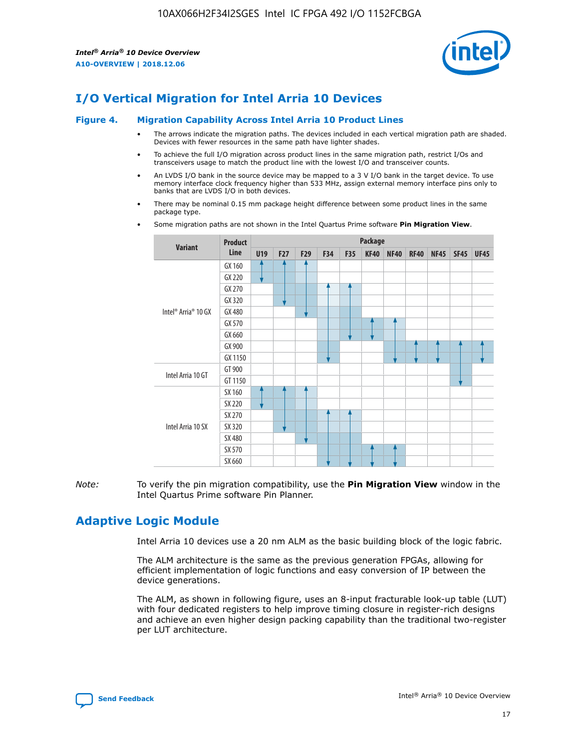

# **I/O Vertical Migration for Intel Arria 10 Devices**

#### **Figure 4. Migration Capability Across Intel Arria 10 Product Lines**

- The arrows indicate the migration paths. The devices included in each vertical migration path are shaded. Devices with fewer resources in the same path have lighter shades.
- To achieve the full I/O migration across product lines in the same migration path, restrict I/Os and transceivers usage to match the product line with the lowest I/O and transceiver counts.
- An LVDS I/O bank in the source device may be mapped to a 3 V I/O bank in the target device. To use memory interface clock frequency higher than 533 MHz, assign external memory interface pins only to banks that are LVDS I/O in both devices.
- There may be nominal 0.15 mm package height difference between some product lines in the same package type.
	- **Variant Product Line Package U19 F27 F29 F34 F35 KF40 NF40 RF40 NF45 SF45 UF45** Intel® Arria® 10 GX GX 160 GX 220 GX 270 GX 320 GX 480 GX 570 GX 660 GX 900 GX 1150 Intel Arria 10 GT GT 900 GT 1150 Intel Arria 10 SX SX 160 SX 220 SX 270 SX 320 SX 480 SX 570 SX 660
- Some migration paths are not shown in the Intel Quartus Prime software **Pin Migration View**.

*Note:* To verify the pin migration compatibility, use the **Pin Migration View** window in the Intel Quartus Prime software Pin Planner.

## **Adaptive Logic Module**

Intel Arria 10 devices use a 20 nm ALM as the basic building block of the logic fabric.

The ALM architecture is the same as the previous generation FPGAs, allowing for efficient implementation of logic functions and easy conversion of IP between the device generations.

The ALM, as shown in following figure, uses an 8-input fracturable look-up table (LUT) with four dedicated registers to help improve timing closure in register-rich designs and achieve an even higher design packing capability than the traditional two-register per LUT architecture.

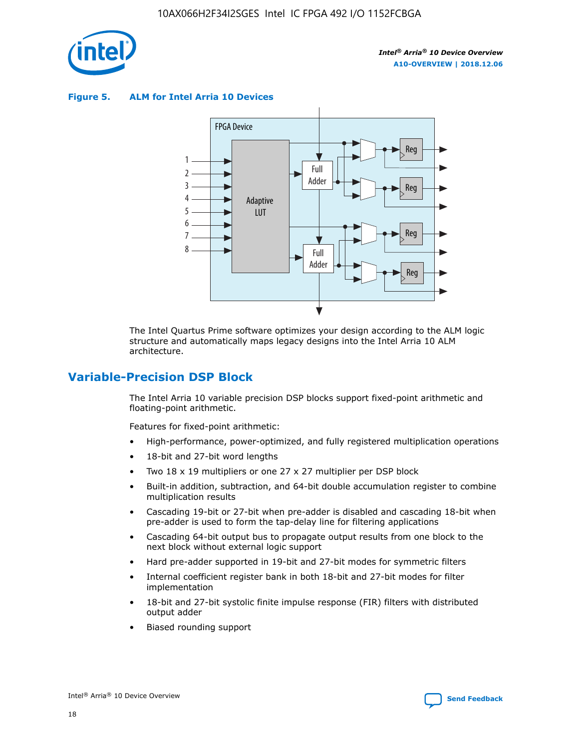

**Figure 5. ALM for Intel Arria 10 Devices**



The Intel Quartus Prime software optimizes your design according to the ALM logic structure and automatically maps legacy designs into the Intel Arria 10 ALM architecture.

## **Variable-Precision DSP Block**

The Intel Arria 10 variable precision DSP blocks support fixed-point arithmetic and floating-point arithmetic.

Features for fixed-point arithmetic:

- High-performance, power-optimized, and fully registered multiplication operations
- 18-bit and 27-bit word lengths
- Two 18 x 19 multipliers or one 27 x 27 multiplier per DSP block
- Built-in addition, subtraction, and 64-bit double accumulation register to combine multiplication results
- Cascading 19-bit or 27-bit when pre-adder is disabled and cascading 18-bit when pre-adder is used to form the tap-delay line for filtering applications
- Cascading 64-bit output bus to propagate output results from one block to the next block without external logic support
- Hard pre-adder supported in 19-bit and 27-bit modes for symmetric filters
- Internal coefficient register bank in both 18-bit and 27-bit modes for filter implementation
- 18-bit and 27-bit systolic finite impulse response (FIR) filters with distributed output adder
- Biased rounding support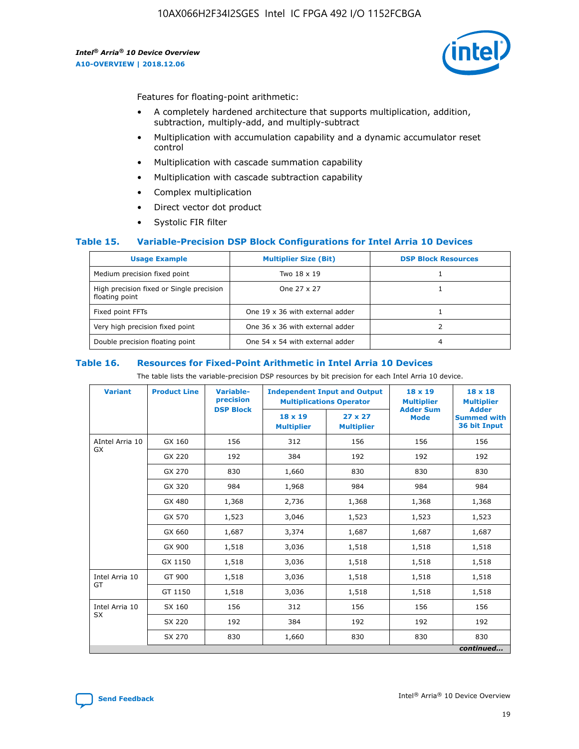

Features for floating-point arithmetic:

- A completely hardened architecture that supports multiplication, addition, subtraction, multiply-add, and multiply-subtract
- Multiplication with accumulation capability and a dynamic accumulator reset control
- Multiplication with cascade summation capability
- Multiplication with cascade subtraction capability
- Complex multiplication
- Direct vector dot product
- Systolic FIR filter

### **Table 15. Variable-Precision DSP Block Configurations for Intel Arria 10 Devices**

| <b>Usage Example</b>                                       | <b>Multiplier Size (Bit)</b>    | <b>DSP Block Resources</b> |
|------------------------------------------------------------|---------------------------------|----------------------------|
| Medium precision fixed point                               | Two 18 x 19                     |                            |
| High precision fixed or Single precision<br>floating point | One 27 x 27                     |                            |
| Fixed point FFTs                                           | One 19 x 36 with external adder |                            |
| Very high precision fixed point                            | One 36 x 36 with external adder |                            |
| Double precision floating point                            | One 54 x 54 with external adder | 4                          |

#### **Table 16. Resources for Fixed-Point Arithmetic in Intel Arria 10 Devices**

The table lists the variable-precision DSP resources by bit precision for each Intel Arria 10 device.

| <b>Variant</b>  | <b>Product Line</b> | Variable-<br>precision<br><b>DSP Block</b> | <b>Independent Input and Output</b><br><b>Multiplications Operator</b> |                                     | 18 x 19<br><b>Multiplier</b><br><b>Adder Sum</b> | $18 \times 18$<br><b>Multiplier</b><br><b>Adder</b> |
|-----------------|---------------------|--------------------------------------------|------------------------------------------------------------------------|-------------------------------------|--------------------------------------------------|-----------------------------------------------------|
|                 |                     |                                            | 18 x 19<br><b>Multiplier</b>                                           | $27 \times 27$<br><b>Multiplier</b> | <b>Mode</b>                                      | <b>Summed with</b><br>36 bit Input                  |
| AIntel Arria 10 | GX 160              | 156                                        | 312                                                                    | 156                                 | 156                                              | 156                                                 |
| GX              | GX 220              | 192                                        | 384                                                                    | 192                                 | 192                                              | 192                                                 |
|                 | GX 270              | 830                                        | 1,660                                                                  | 830                                 | 830                                              | 830                                                 |
|                 | GX 320              | 984                                        | 1,968                                                                  | 984                                 | 984                                              | 984                                                 |
|                 | GX 480              | 1,368                                      | 2,736                                                                  | 1,368                               | 1,368                                            | 1,368                                               |
|                 | GX 570              | 1,523                                      | 3,046                                                                  | 1,523                               | 1,523                                            | 1,523                                               |
|                 | GX 660              | 1,687                                      | 3,374                                                                  | 1,687                               | 1,687                                            | 1,687                                               |
|                 | GX 900              | 1,518                                      | 3,036                                                                  | 1,518                               | 1,518                                            | 1,518                                               |
|                 | GX 1150             | 1,518                                      | 3,036                                                                  | 1,518                               | 1,518                                            | 1,518                                               |
| Intel Arria 10  | GT 900              | 1,518                                      | 3,036                                                                  | 1,518                               | 1,518                                            | 1,518                                               |
| GT              | GT 1150             | 1,518                                      | 3,036                                                                  | 1,518                               | 1,518                                            | 1,518                                               |
| Intel Arria 10  | SX 160              | 156                                        | 312                                                                    | 156                                 | 156                                              | 156                                                 |
| <b>SX</b>       | SX 220              | 192                                        | 384                                                                    | 192                                 | 192                                              | 192                                                 |
|                 | SX 270              | 830                                        | 1,660                                                                  | 830                                 | 830                                              | 830                                                 |
|                 |                     |                                            |                                                                        |                                     |                                                  | continued                                           |

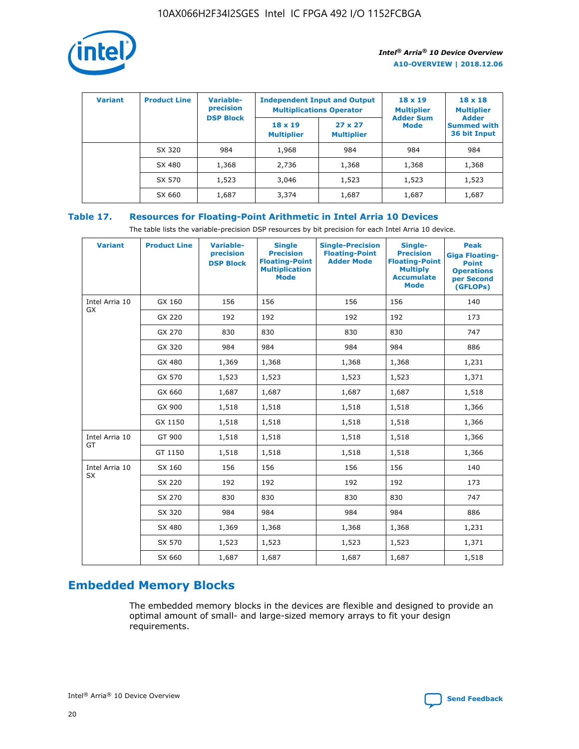

| <b>Variant</b> | <b>Product Line</b> | Variable-<br>precision | <b>Independent Input and Output</b><br><b>Multiplications Operator</b> |                                     | $18 \times 19$<br><b>Multiplier</b> | $18 \times 18$<br><b>Multiplier</b><br><b>Adder</b> |  |
|----------------|---------------------|------------------------|------------------------------------------------------------------------|-------------------------------------|-------------------------------------|-----------------------------------------------------|--|
|                |                     | <b>DSP Block</b>       | $18 \times 19$<br><b>Multiplier</b>                                    | $27 \times 27$<br><b>Multiplier</b> | <b>Adder Sum</b><br><b>Mode</b>     | <b>Summed with</b><br>36 bit Input                  |  |
|                | SX 320              | 984                    | 1,968                                                                  | 984                                 | 984                                 | 984                                                 |  |
|                | SX 480              | 1,368                  | 2,736                                                                  | 1,368                               | 1,368                               | 1,368                                               |  |
|                | SX 570              | 1,523                  | 3,046                                                                  | 1,523                               | 1,523                               | 1,523                                               |  |
|                | SX 660              | 1,687                  | 3,374                                                                  | 1,687                               | 1,687                               | 1,687                                               |  |

## **Table 17. Resources for Floating-Point Arithmetic in Intel Arria 10 Devices**

The table lists the variable-precision DSP resources by bit precision for each Intel Arria 10 device.

| <b>Variant</b> | <b>Product Line</b> | <b>Variable-</b><br>precision<br><b>DSP Block</b> | <b>Single</b><br><b>Precision</b><br><b>Floating-Point</b><br><b>Multiplication</b><br><b>Mode</b> | <b>Single-Precision</b><br><b>Floating-Point</b><br><b>Adder Mode</b> | Single-<br><b>Precision</b><br><b>Floating-Point</b><br><b>Multiply</b><br><b>Accumulate</b><br><b>Mode</b> | <b>Peak</b><br><b>Giga Floating-</b><br><b>Point</b><br><b>Operations</b><br>per Second<br>(GFLOPs) |
|----------------|---------------------|---------------------------------------------------|----------------------------------------------------------------------------------------------------|-----------------------------------------------------------------------|-------------------------------------------------------------------------------------------------------------|-----------------------------------------------------------------------------------------------------|
| Intel Arria 10 | GX 160              | 156                                               | 156                                                                                                | 156                                                                   | 156                                                                                                         | 140                                                                                                 |
| GX             | GX 220              | 192                                               | 192                                                                                                | 192                                                                   | 192                                                                                                         | 173                                                                                                 |
|                | GX 270              | 830                                               | 830                                                                                                | 830                                                                   | 830                                                                                                         | 747                                                                                                 |
|                | GX 320              | 984                                               | 984                                                                                                | 984                                                                   | 984                                                                                                         | 886                                                                                                 |
|                | GX 480              | 1,369                                             | 1,368                                                                                              | 1,368                                                                 | 1,368                                                                                                       | 1,231                                                                                               |
|                | GX 570              | 1,523                                             | 1,523                                                                                              | 1,523                                                                 | 1,523                                                                                                       | 1,371                                                                                               |
|                | GX 660              | 1,687                                             | 1,687                                                                                              | 1,687                                                                 | 1,687                                                                                                       | 1,518                                                                                               |
|                | GX 900              | 1,518                                             | 1,518                                                                                              | 1,518                                                                 | 1,518                                                                                                       | 1,366                                                                                               |
|                | GX 1150             | 1,518                                             | 1,518                                                                                              | 1,518                                                                 | 1,518                                                                                                       | 1,366                                                                                               |
| Intel Arria 10 | GT 900              | 1,518                                             | 1,518                                                                                              | 1,518                                                                 | 1,518                                                                                                       | 1,366                                                                                               |
| GT             | GT 1150             | 1,518                                             | 1,518                                                                                              | 1,518                                                                 | 1,518                                                                                                       | 1,366                                                                                               |
| Intel Arria 10 | SX 160              | 156                                               | 156                                                                                                | 156                                                                   | 156                                                                                                         | 140                                                                                                 |
| <b>SX</b>      | SX 220              | 192                                               | 192                                                                                                | 192                                                                   | 192                                                                                                         | 173                                                                                                 |
|                | SX 270              | 830                                               | 830                                                                                                | 830                                                                   | 830                                                                                                         | 747                                                                                                 |
|                | SX 320              | 984                                               | 984                                                                                                | 984                                                                   | 984                                                                                                         | 886                                                                                                 |
|                | SX 480              | 1,369                                             | 1,368                                                                                              | 1,368                                                                 | 1,368                                                                                                       | 1,231                                                                                               |
|                | SX 570              | 1,523                                             | 1,523                                                                                              | 1,523                                                                 | 1,523                                                                                                       | 1,371                                                                                               |
|                | SX 660              | 1,687                                             | 1,687                                                                                              | 1,687                                                                 | 1,687                                                                                                       | 1,518                                                                                               |

# **Embedded Memory Blocks**

The embedded memory blocks in the devices are flexible and designed to provide an optimal amount of small- and large-sized memory arrays to fit your design requirements.

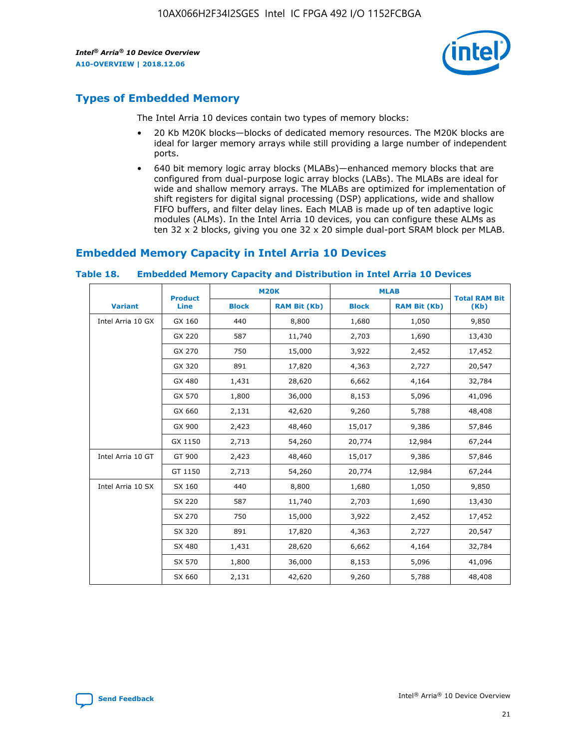

## **Types of Embedded Memory**

The Intel Arria 10 devices contain two types of memory blocks:

- 20 Kb M20K blocks—blocks of dedicated memory resources. The M20K blocks are ideal for larger memory arrays while still providing a large number of independent ports.
- 640 bit memory logic array blocks (MLABs)—enhanced memory blocks that are configured from dual-purpose logic array blocks (LABs). The MLABs are ideal for wide and shallow memory arrays. The MLABs are optimized for implementation of shift registers for digital signal processing (DSP) applications, wide and shallow FIFO buffers, and filter delay lines. Each MLAB is made up of ten adaptive logic modules (ALMs). In the Intel Arria 10 devices, you can configure these ALMs as ten 32 x 2 blocks, giving you one 32 x 20 simple dual-port SRAM block per MLAB.

## **Embedded Memory Capacity in Intel Arria 10 Devices**

|                   | <b>Product</b> |              | <b>M20K</b>         | <b>MLAB</b>  |                     | <b>Total RAM Bit</b> |
|-------------------|----------------|--------------|---------------------|--------------|---------------------|----------------------|
| <b>Variant</b>    | Line           | <b>Block</b> | <b>RAM Bit (Kb)</b> | <b>Block</b> | <b>RAM Bit (Kb)</b> | (Kb)                 |
| Intel Arria 10 GX | GX 160         | 440          | 8,800               | 1,680        | 1,050               | 9,850                |
|                   | GX 220         | 587          | 11,740              | 2,703        | 1,690               | 13,430               |
|                   | GX 270         | 750          | 15,000              | 3,922        | 2,452               | 17,452               |
|                   | GX 320         | 891          | 17,820              | 4,363        | 2,727               | 20,547               |
|                   | GX 480         | 1,431        | 28,620              | 6,662        | 4,164               | 32,784               |
|                   | GX 570         | 1,800        | 36,000              | 8,153        | 5,096               | 41,096               |
|                   | GX 660         | 2,131        | 42,620              | 9,260        | 5,788               | 48,408               |
|                   | GX 900         | 2,423        | 48,460              | 15,017       | 9,386               | 57,846               |
|                   | GX 1150        | 2,713        | 54,260              | 20,774       | 12,984              | 67,244               |
| Intel Arria 10 GT | GT 900         | 2,423        | 48,460              | 15,017       | 9,386               | 57,846               |
|                   | GT 1150        | 2,713        | 54,260              | 20,774       | 12,984              | 67,244               |
| Intel Arria 10 SX | SX 160         | 440          | 8,800               | 1,680        | 1,050               | 9,850                |
|                   | SX 220         | 587          | 11,740              | 2,703        | 1,690               | 13,430               |
|                   | SX 270         | 750          | 15,000              | 3,922        | 2,452               | 17,452               |
|                   | SX 320         | 891          | 17,820              | 4,363        | 2,727               | 20,547               |
|                   | SX 480         | 1,431        | 28,620              | 6,662        | 4,164               | 32,784               |
|                   | SX 570         | 1,800        | 36,000              | 8,153        | 5,096               | 41,096               |
|                   | SX 660         | 2,131        | 42,620              | 9,260        | 5,788               | 48,408               |

#### **Table 18. Embedded Memory Capacity and Distribution in Intel Arria 10 Devices**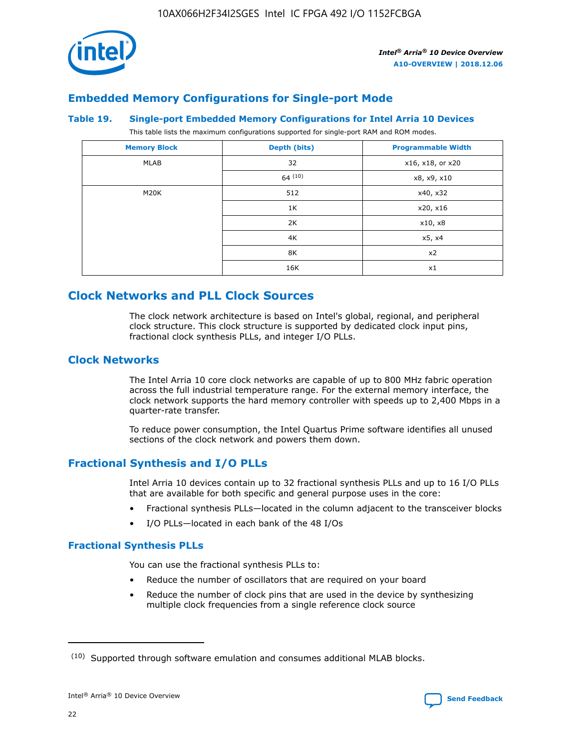

## **Embedded Memory Configurations for Single-port Mode**

### **Table 19. Single-port Embedded Memory Configurations for Intel Arria 10 Devices**

This table lists the maximum configurations supported for single-port RAM and ROM modes.

| <b>Memory Block</b> | Depth (bits) | <b>Programmable Width</b> |
|---------------------|--------------|---------------------------|
| MLAB                | 32           | x16, x18, or x20          |
|                     | 64(10)       | x8, x9, x10               |
| M20K                | 512          | x40, x32                  |
|                     | 1K           | x20, x16                  |
|                     | 2K           | x10, x8                   |
|                     | 4K           | x5, x4                    |
|                     | 8K           | x2                        |
|                     | 16K          | x1                        |

## **Clock Networks and PLL Clock Sources**

The clock network architecture is based on Intel's global, regional, and peripheral clock structure. This clock structure is supported by dedicated clock input pins, fractional clock synthesis PLLs, and integer I/O PLLs.

## **Clock Networks**

The Intel Arria 10 core clock networks are capable of up to 800 MHz fabric operation across the full industrial temperature range. For the external memory interface, the clock network supports the hard memory controller with speeds up to 2,400 Mbps in a quarter-rate transfer.

To reduce power consumption, the Intel Quartus Prime software identifies all unused sections of the clock network and powers them down.

## **Fractional Synthesis and I/O PLLs**

Intel Arria 10 devices contain up to 32 fractional synthesis PLLs and up to 16 I/O PLLs that are available for both specific and general purpose uses in the core:

- Fractional synthesis PLLs—located in the column adjacent to the transceiver blocks
- I/O PLLs—located in each bank of the 48 I/Os

### **Fractional Synthesis PLLs**

You can use the fractional synthesis PLLs to:

- Reduce the number of oscillators that are required on your board
- Reduce the number of clock pins that are used in the device by synthesizing multiple clock frequencies from a single reference clock source

<sup>(10)</sup> Supported through software emulation and consumes additional MLAB blocks.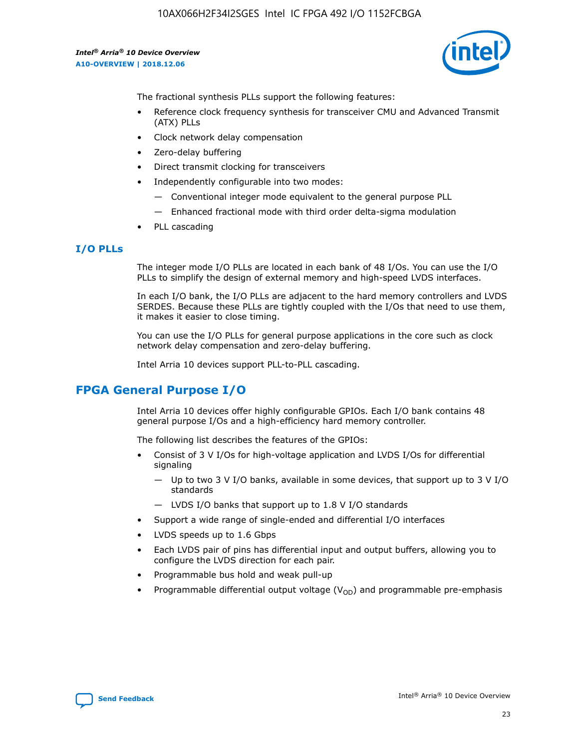

The fractional synthesis PLLs support the following features:

- Reference clock frequency synthesis for transceiver CMU and Advanced Transmit (ATX) PLLs
- Clock network delay compensation
- Zero-delay buffering
- Direct transmit clocking for transceivers
- Independently configurable into two modes:
	- Conventional integer mode equivalent to the general purpose PLL
	- Enhanced fractional mode with third order delta-sigma modulation
- PLL cascading

## **I/O PLLs**

The integer mode I/O PLLs are located in each bank of 48 I/Os. You can use the I/O PLLs to simplify the design of external memory and high-speed LVDS interfaces.

In each I/O bank, the I/O PLLs are adjacent to the hard memory controllers and LVDS SERDES. Because these PLLs are tightly coupled with the I/Os that need to use them, it makes it easier to close timing.

You can use the I/O PLLs for general purpose applications in the core such as clock network delay compensation and zero-delay buffering.

Intel Arria 10 devices support PLL-to-PLL cascading.

## **FPGA General Purpose I/O**

Intel Arria 10 devices offer highly configurable GPIOs. Each I/O bank contains 48 general purpose I/Os and a high-efficiency hard memory controller.

The following list describes the features of the GPIOs:

- Consist of 3 V I/Os for high-voltage application and LVDS I/Os for differential signaling
	- Up to two 3 V I/O banks, available in some devices, that support up to 3 V I/O standards
	- LVDS I/O banks that support up to 1.8 V I/O standards
- Support a wide range of single-ended and differential I/O interfaces
- LVDS speeds up to 1.6 Gbps
- Each LVDS pair of pins has differential input and output buffers, allowing you to configure the LVDS direction for each pair.
- Programmable bus hold and weak pull-up
- Programmable differential output voltage  $(V_{OD})$  and programmable pre-emphasis

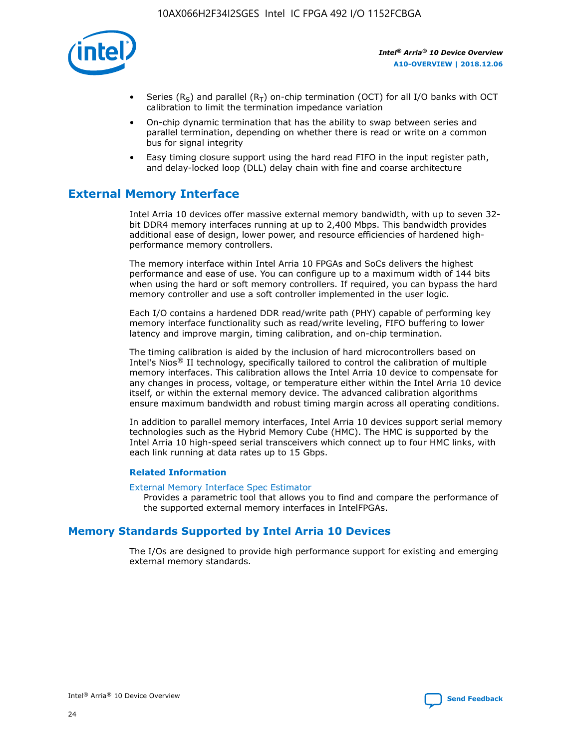

- Series (R<sub>S</sub>) and parallel (R<sub>T</sub>) on-chip termination (OCT) for all I/O banks with OCT calibration to limit the termination impedance variation
- On-chip dynamic termination that has the ability to swap between series and parallel termination, depending on whether there is read or write on a common bus for signal integrity
- Easy timing closure support using the hard read FIFO in the input register path, and delay-locked loop (DLL) delay chain with fine and coarse architecture

## **External Memory Interface**

Intel Arria 10 devices offer massive external memory bandwidth, with up to seven 32 bit DDR4 memory interfaces running at up to 2,400 Mbps. This bandwidth provides additional ease of design, lower power, and resource efficiencies of hardened highperformance memory controllers.

The memory interface within Intel Arria 10 FPGAs and SoCs delivers the highest performance and ease of use. You can configure up to a maximum width of 144 bits when using the hard or soft memory controllers. If required, you can bypass the hard memory controller and use a soft controller implemented in the user logic.

Each I/O contains a hardened DDR read/write path (PHY) capable of performing key memory interface functionality such as read/write leveling, FIFO buffering to lower latency and improve margin, timing calibration, and on-chip termination.

The timing calibration is aided by the inclusion of hard microcontrollers based on Intel's Nios® II technology, specifically tailored to control the calibration of multiple memory interfaces. This calibration allows the Intel Arria 10 device to compensate for any changes in process, voltage, or temperature either within the Intel Arria 10 device itself, or within the external memory device. The advanced calibration algorithms ensure maximum bandwidth and robust timing margin across all operating conditions.

In addition to parallel memory interfaces, Intel Arria 10 devices support serial memory technologies such as the Hybrid Memory Cube (HMC). The HMC is supported by the Intel Arria 10 high-speed serial transceivers which connect up to four HMC links, with each link running at data rates up to 15 Gbps.

### **Related Information**

#### [External Memory Interface Spec Estimator](http://www.altera.com/technology/memory/estimator/mem-emif-index.html)

Provides a parametric tool that allows you to find and compare the performance of the supported external memory interfaces in IntelFPGAs.

## **Memory Standards Supported by Intel Arria 10 Devices**

The I/Os are designed to provide high performance support for existing and emerging external memory standards.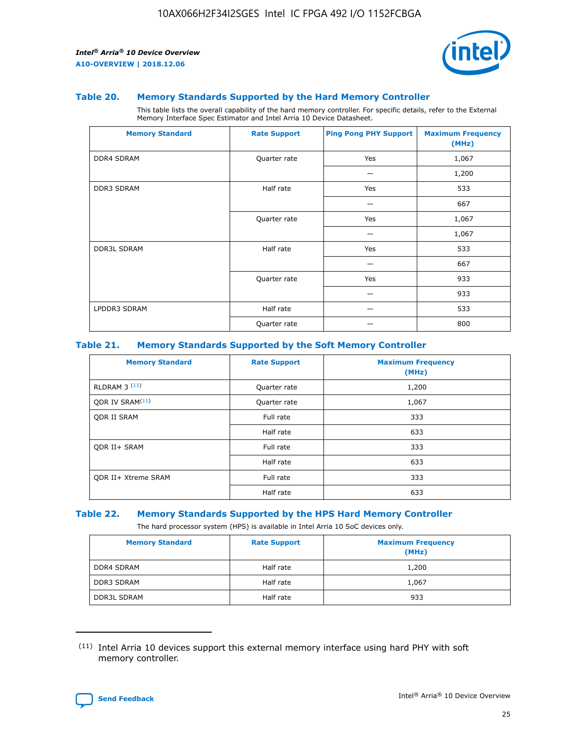

#### **Table 20. Memory Standards Supported by the Hard Memory Controller**

This table lists the overall capability of the hard memory controller. For specific details, refer to the External Memory Interface Spec Estimator and Intel Arria 10 Device Datasheet.

| <b>Memory Standard</b> | <b>Rate Support</b> | <b>Ping Pong PHY Support</b> | <b>Maximum Frequency</b><br>(MHz) |
|------------------------|---------------------|------------------------------|-----------------------------------|
| <b>DDR4 SDRAM</b>      | Quarter rate        | Yes                          | 1,067                             |
|                        |                     |                              | 1,200                             |
| <b>DDR3 SDRAM</b>      | Half rate           | Yes                          | 533                               |
|                        |                     |                              | 667                               |
|                        | Quarter rate        | Yes                          | 1,067                             |
|                        |                     |                              | 1,067                             |
| <b>DDR3L SDRAM</b>     | Half rate           | Yes                          | 533                               |
|                        |                     |                              | 667                               |
|                        | Quarter rate        | Yes                          | 933                               |
|                        |                     |                              | 933                               |
| LPDDR3 SDRAM           | Half rate           |                              | 533                               |
|                        | Quarter rate        |                              | 800                               |

### **Table 21. Memory Standards Supported by the Soft Memory Controller**

| <b>Memory Standard</b>      | <b>Rate Support</b> | <b>Maximum Frequency</b><br>(MHz) |
|-----------------------------|---------------------|-----------------------------------|
| <b>RLDRAM 3 (11)</b>        | Quarter rate        | 1,200                             |
| ODR IV SRAM <sup>(11)</sup> | Quarter rate        | 1,067                             |
| <b>ODR II SRAM</b>          | Full rate           | 333                               |
|                             | Half rate           | 633                               |
| <b>ODR II+ SRAM</b>         | Full rate           | 333                               |
|                             | Half rate           | 633                               |
| <b>ODR II+ Xtreme SRAM</b>  | Full rate           | 333                               |
|                             | Half rate           | 633                               |

#### **Table 22. Memory Standards Supported by the HPS Hard Memory Controller**

The hard processor system (HPS) is available in Intel Arria 10 SoC devices only.

| <b>Memory Standard</b> | <b>Rate Support</b> | <b>Maximum Frequency</b><br>(MHz) |
|------------------------|---------------------|-----------------------------------|
| <b>DDR4 SDRAM</b>      | Half rate           | 1,200                             |
| <b>DDR3 SDRAM</b>      | Half rate           | 1,067                             |
| <b>DDR3L SDRAM</b>     | Half rate           | 933                               |

<sup>(11)</sup> Intel Arria 10 devices support this external memory interface using hard PHY with soft memory controller.

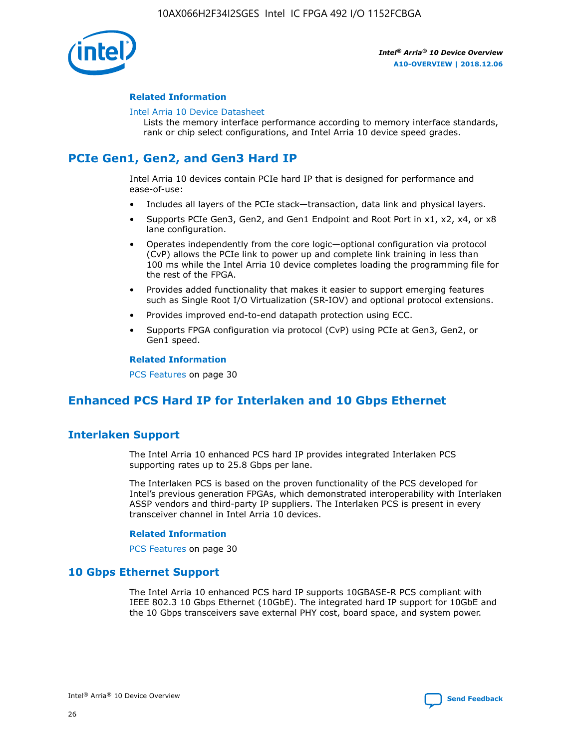

### **Related Information**

#### [Intel Arria 10 Device Datasheet](https://www.intel.com/content/www/us/en/programmable/documentation/mcn1413182292568.html#mcn1413182153340)

Lists the memory interface performance according to memory interface standards, rank or chip select configurations, and Intel Arria 10 device speed grades.

# **PCIe Gen1, Gen2, and Gen3 Hard IP**

Intel Arria 10 devices contain PCIe hard IP that is designed for performance and ease-of-use:

- Includes all layers of the PCIe stack—transaction, data link and physical layers.
- Supports PCIe Gen3, Gen2, and Gen1 Endpoint and Root Port in x1, x2, x4, or x8 lane configuration.
- Operates independently from the core logic—optional configuration via protocol (CvP) allows the PCIe link to power up and complete link training in less than 100 ms while the Intel Arria 10 device completes loading the programming file for the rest of the FPGA.
- Provides added functionality that makes it easier to support emerging features such as Single Root I/O Virtualization (SR-IOV) and optional protocol extensions.
- Provides improved end-to-end datapath protection using ECC.
- Supports FPGA configuration via protocol (CvP) using PCIe at Gen3, Gen2, or Gen1 speed.

#### **Related Information**

PCS Features on page 30

## **Enhanced PCS Hard IP for Interlaken and 10 Gbps Ethernet**

## **Interlaken Support**

The Intel Arria 10 enhanced PCS hard IP provides integrated Interlaken PCS supporting rates up to 25.8 Gbps per lane.

The Interlaken PCS is based on the proven functionality of the PCS developed for Intel's previous generation FPGAs, which demonstrated interoperability with Interlaken ASSP vendors and third-party IP suppliers. The Interlaken PCS is present in every transceiver channel in Intel Arria 10 devices.

### **Related Information**

PCS Features on page 30

## **10 Gbps Ethernet Support**

The Intel Arria 10 enhanced PCS hard IP supports 10GBASE-R PCS compliant with IEEE 802.3 10 Gbps Ethernet (10GbE). The integrated hard IP support for 10GbE and the 10 Gbps transceivers save external PHY cost, board space, and system power.

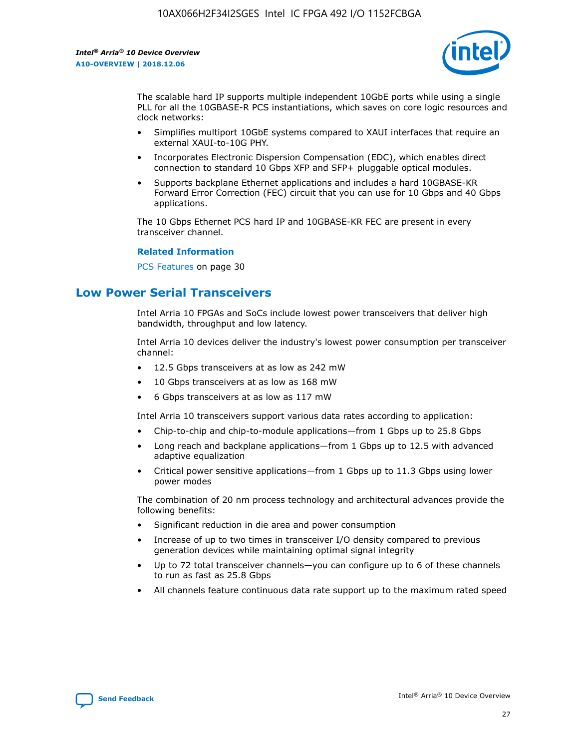

The scalable hard IP supports multiple independent 10GbE ports while using a single PLL for all the 10GBASE-R PCS instantiations, which saves on core logic resources and clock networks:

- Simplifies multiport 10GbE systems compared to XAUI interfaces that require an external XAUI-to-10G PHY.
- Incorporates Electronic Dispersion Compensation (EDC), which enables direct connection to standard 10 Gbps XFP and SFP+ pluggable optical modules.
- Supports backplane Ethernet applications and includes a hard 10GBASE-KR Forward Error Correction (FEC) circuit that you can use for 10 Gbps and 40 Gbps applications.

The 10 Gbps Ethernet PCS hard IP and 10GBASE-KR FEC are present in every transceiver channel.

#### **Related Information**

PCS Features on page 30

## **Low Power Serial Transceivers**

Intel Arria 10 FPGAs and SoCs include lowest power transceivers that deliver high bandwidth, throughput and low latency.

Intel Arria 10 devices deliver the industry's lowest power consumption per transceiver channel:

- 12.5 Gbps transceivers at as low as 242 mW
- 10 Gbps transceivers at as low as 168 mW
- 6 Gbps transceivers at as low as 117 mW

Intel Arria 10 transceivers support various data rates according to application:

- Chip-to-chip and chip-to-module applications—from 1 Gbps up to 25.8 Gbps
- Long reach and backplane applications—from 1 Gbps up to 12.5 with advanced adaptive equalization
- Critical power sensitive applications—from 1 Gbps up to 11.3 Gbps using lower power modes

The combination of 20 nm process technology and architectural advances provide the following benefits:

- Significant reduction in die area and power consumption
- Increase of up to two times in transceiver I/O density compared to previous generation devices while maintaining optimal signal integrity
- Up to 72 total transceiver channels—you can configure up to 6 of these channels to run as fast as 25.8 Gbps
- All channels feature continuous data rate support up to the maximum rated speed

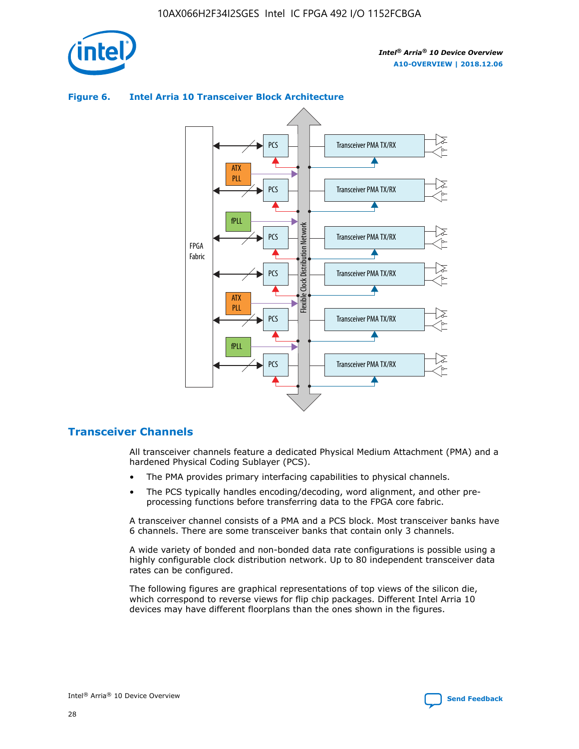

## Transceiver PMA TX/RX PCS ATX PLL Transceiver PMA TX/RX PCS fPLL Network Flexible Clock Distribution Network PCS Transceiver PMA TX/RX FPGA **Clock Distribution** Fabric PCS Transceiver PMA TX/RX ATX Flexible PLL PCS Transceiver PMA TX/RX ▲ fPLL Transceiver PMA TX/RX PCS 4

## **Figure 6. Intel Arria 10 Transceiver Block Architecture**

## **Transceiver Channels**

All transceiver channels feature a dedicated Physical Medium Attachment (PMA) and a hardened Physical Coding Sublayer (PCS).

- The PMA provides primary interfacing capabilities to physical channels.
- The PCS typically handles encoding/decoding, word alignment, and other preprocessing functions before transferring data to the FPGA core fabric.

A transceiver channel consists of a PMA and a PCS block. Most transceiver banks have 6 channels. There are some transceiver banks that contain only 3 channels.

A wide variety of bonded and non-bonded data rate configurations is possible using a highly configurable clock distribution network. Up to 80 independent transceiver data rates can be configured.

The following figures are graphical representations of top views of the silicon die, which correspond to reverse views for flip chip packages. Different Intel Arria 10 devices may have different floorplans than the ones shown in the figures.

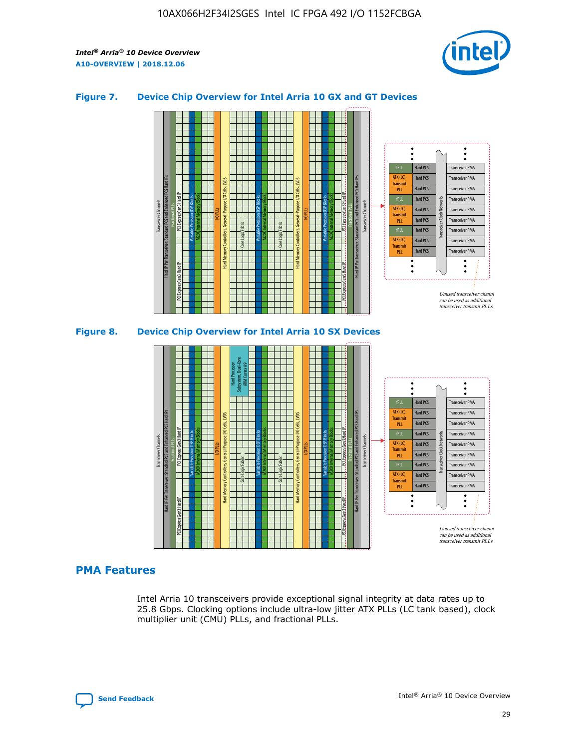

## **Figure 7. Device Chip Overview for Intel Arria 10 GX and GT Devices**





### **PMA Features**

Intel Arria 10 transceivers provide exceptional signal integrity at data rates up to 25.8 Gbps. Clocking options include ultra-low jitter ATX PLLs (LC tank based), clock multiplier unit (CMU) PLLs, and fractional PLLs.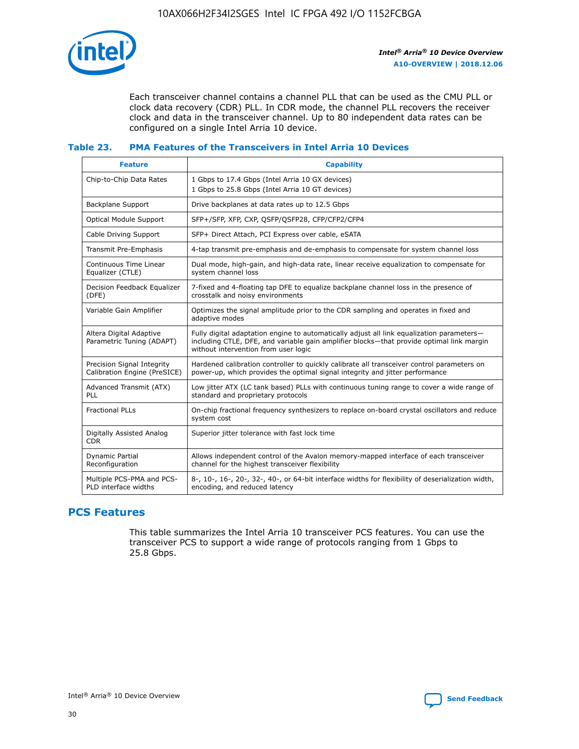

Each transceiver channel contains a channel PLL that can be used as the CMU PLL or clock data recovery (CDR) PLL. In CDR mode, the channel PLL recovers the receiver clock and data in the transceiver channel. Up to 80 independent data rates can be configured on a single Intel Arria 10 device.

## **Table 23. PMA Features of the Transceivers in Intel Arria 10 Devices**

| <b>Feature</b>                                             | <b>Capability</b>                                                                                                                                                                                                             |
|------------------------------------------------------------|-------------------------------------------------------------------------------------------------------------------------------------------------------------------------------------------------------------------------------|
| Chip-to-Chip Data Rates                                    | 1 Gbps to 17.4 Gbps (Intel Arria 10 GX devices)<br>1 Gbps to 25.8 Gbps (Intel Arria 10 GT devices)                                                                                                                            |
| Backplane Support                                          | Drive backplanes at data rates up to 12.5 Gbps                                                                                                                                                                                |
| <b>Optical Module Support</b>                              | SFP+/SFP, XFP, CXP, QSFP/QSFP28, CFP/CFP2/CFP4                                                                                                                                                                                |
| Cable Driving Support                                      | SFP+ Direct Attach, PCI Express over cable, eSATA                                                                                                                                                                             |
| Transmit Pre-Emphasis                                      | 4-tap transmit pre-emphasis and de-emphasis to compensate for system channel loss                                                                                                                                             |
| Continuous Time Linear<br>Equalizer (CTLE)                 | Dual mode, high-gain, and high-data rate, linear receive equalization to compensate for<br>system channel loss                                                                                                                |
| Decision Feedback Equalizer<br>(DFE)                       | 7-fixed and 4-floating tap DFE to equalize backplane channel loss in the presence of<br>crosstalk and noisy environments                                                                                                      |
| Variable Gain Amplifier                                    | Optimizes the signal amplitude prior to the CDR sampling and operates in fixed and<br>adaptive modes                                                                                                                          |
| Altera Digital Adaptive<br>Parametric Tuning (ADAPT)       | Fully digital adaptation engine to automatically adjust all link equalization parameters-<br>including CTLE, DFE, and variable gain amplifier blocks—that provide optimal link margin<br>without intervention from user logic |
| Precision Signal Integrity<br>Calibration Engine (PreSICE) | Hardened calibration controller to quickly calibrate all transceiver control parameters on<br>power-up, which provides the optimal signal integrity and jitter performance                                                    |
| Advanced Transmit (ATX)<br>PLL                             | Low jitter ATX (LC tank based) PLLs with continuous tuning range to cover a wide range of<br>standard and proprietary protocols                                                                                               |
| <b>Fractional PLLs</b>                                     | On-chip fractional frequency synthesizers to replace on-board crystal oscillators and reduce<br>system cost                                                                                                                   |
| Digitally Assisted Analog<br><b>CDR</b>                    | Superior jitter tolerance with fast lock time                                                                                                                                                                                 |
| Dynamic Partial<br>Reconfiguration                         | Allows independent control of the Avalon memory-mapped interface of each transceiver<br>channel for the highest transceiver flexibility                                                                                       |
| Multiple PCS-PMA and PCS-<br>PLD interface widths          | 8-, 10-, 16-, 20-, 32-, 40-, or 64-bit interface widths for flexibility of deserialization width,<br>encoding, and reduced latency                                                                                            |

## **PCS Features**

This table summarizes the Intel Arria 10 transceiver PCS features. You can use the transceiver PCS to support a wide range of protocols ranging from 1 Gbps to 25.8 Gbps.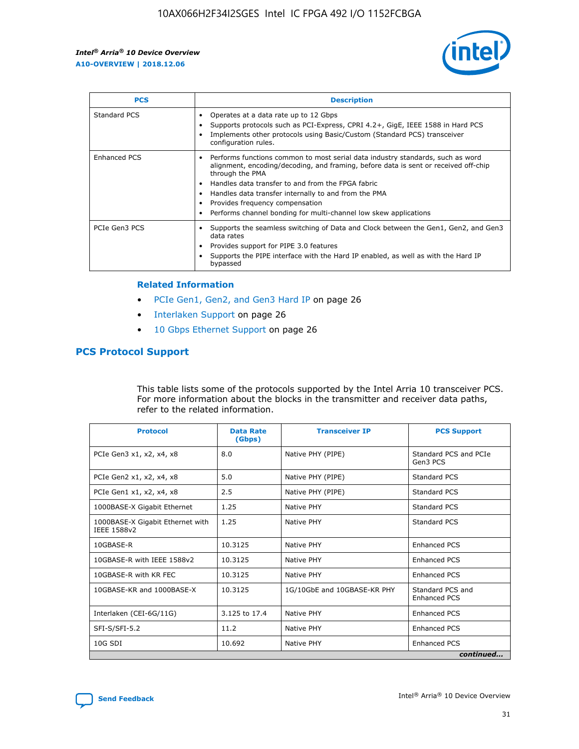

| <b>PCS</b>    | <b>Description</b>                                                                                                                                                                                                                                                                                                                                                                                             |
|---------------|----------------------------------------------------------------------------------------------------------------------------------------------------------------------------------------------------------------------------------------------------------------------------------------------------------------------------------------------------------------------------------------------------------------|
| Standard PCS  | Operates at a data rate up to 12 Gbps<br>Supports protocols such as PCI-Express, CPRI 4.2+, GigE, IEEE 1588 in Hard PCS<br>Implements other protocols using Basic/Custom (Standard PCS) transceiver<br>configuration rules.                                                                                                                                                                                    |
| Enhanced PCS  | Performs functions common to most serial data industry standards, such as word<br>alignment, encoding/decoding, and framing, before data is sent or received off-chip<br>through the PMA<br>• Handles data transfer to and from the FPGA fabric<br>Handles data transfer internally to and from the PMA<br>Provides frequency compensation<br>Performs channel bonding for multi-channel low skew applications |
| PCIe Gen3 PCS | Supports the seamless switching of Data and Clock between the Gen1, Gen2, and Gen3<br>data rates<br>Provides support for PIPE 3.0 features<br>Supports the PIPE interface with the Hard IP enabled, as well as with the Hard IP<br>bypassed                                                                                                                                                                    |

#### **Related Information**

- PCIe Gen1, Gen2, and Gen3 Hard IP on page 26
- Interlaken Support on page 26
- 10 Gbps Ethernet Support on page 26

## **PCS Protocol Support**

This table lists some of the protocols supported by the Intel Arria 10 transceiver PCS. For more information about the blocks in the transmitter and receiver data paths, refer to the related information.

| <b>Protocol</b>                                 | <b>Data Rate</b><br>(Gbps) | <b>Transceiver IP</b>       | <b>PCS Support</b>                      |
|-------------------------------------------------|----------------------------|-----------------------------|-----------------------------------------|
| PCIe Gen3 x1, x2, x4, x8                        | 8.0                        | Native PHY (PIPE)           | Standard PCS and PCIe<br>Gen3 PCS       |
| PCIe Gen2 x1, x2, x4, x8                        | 5.0                        | Native PHY (PIPE)           | <b>Standard PCS</b>                     |
| PCIe Gen1 x1, x2, x4, x8                        | 2.5                        | Native PHY (PIPE)           | Standard PCS                            |
| 1000BASE-X Gigabit Ethernet                     | 1.25                       | Native PHY                  | <b>Standard PCS</b>                     |
| 1000BASE-X Gigabit Ethernet with<br>IEEE 1588v2 | 1.25                       | Native PHY                  | Standard PCS                            |
| 10GBASE-R                                       | 10.3125                    | Native PHY                  | <b>Enhanced PCS</b>                     |
| 10GBASE-R with IEEE 1588v2                      | 10.3125                    | Native PHY                  | <b>Enhanced PCS</b>                     |
| 10GBASE-R with KR FEC                           | 10.3125                    | Native PHY                  | <b>Enhanced PCS</b>                     |
| 10GBASE-KR and 1000BASE-X                       | 10.3125                    | 1G/10GbE and 10GBASE-KR PHY | Standard PCS and<br><b>Enhanced PCS</b> |
| Interlaken (CEI-6G/11G)                         | 3.125 to 17.4              | Native PHY                  | <b>Enhanced PCS</b>                     |
| SFI-S/SFI-5.2                                   | 11.2                       | Native PHY                  | <b>Enhanced PCS</b>                     |
| $10G$ SDI                                       | 10.692                     | Native PHY                  | <b>Enhanced PCS</b>                     |
|                                                 |                            |                             | continued                               |

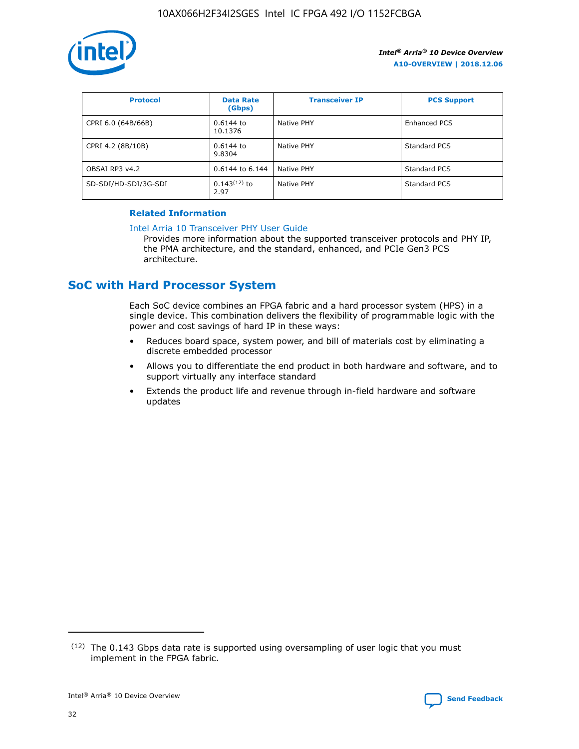

| <b>Protocol</b>      | <b>Data Rate</b><br>(Gbps) | <b>Transceiver IP</b> | <b>PCS Support</b> |
|----------------------|----------------------------|-----------------------|--------------------|
| CPRI 6.0 (64B/66B)   | 0.6144 to<br>10.1376       | Native PHY            | Enhanced PCS       |
| CPRI 4.2 (8B/10B)    | $0.6144$ to<br>9.8304      | Native PHY            | Standard PCS       |
| OBSAI RP3 v4.2       | 0.6144 to 6.144            | Native PHY            | Standard PCS       |
| SD-SDI/HD-SDI/3G-SDI | $0.143(12)$ to<br>2.97     | Native PHY            | Standard PCS       |

## **Related Information**

#### [Intel Arria 10 Transceiver PHY User Guide](https://www.intel.com/content/www/us/en/programmable/documentation/nik1398707230472.html#nik1398707091164)

Provides more information about the supported transceiver protocols and PHY IP, the PMA architecture, and the standard, enhanced, and PCIe Gen3 PCS architecture.

## **SoC with Hard Processor System**

Each SoC device combines an FPGA fabric and a hard processor system (HPS) in a single device. This combination delivers the flexibility of programmable logic with the power and cost savings of hard IP in these ways:

- Reduces board space, system power, and bill of materials cost by eliminating a discrete embedded processor
- Allows you to differentiate the end product in both hardware and software, and to support virtually any interface standard
- Extends the product life and revenue through in-field hardware and software updates

 $(12)$  The 0.143 Gbps data rate is supported using oversampling of user logic that you must implement in the FPGA fabric.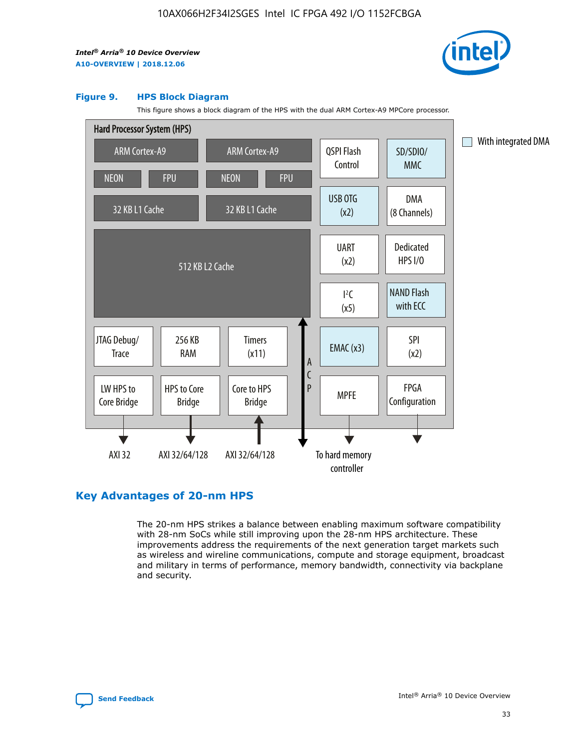

#### **Figure 9. HPS Block Diagram**

This figure shows a block diagram of the HPS with the dual ARM Cortex-A9 MPCore processor.



## **Key Advantages of 20-nm HPS**

The 20-nm HPS strikes a balance between enabling maximum software compatibility with 28-nm SoCs while still improving upon the 28-nm HPS architecture. These improvements address the requirements of the next generation target markets such as wireless and wireline communications, compute and storage equipment, broadcast and military in terms of performance, memory bandwidth, connectivity via backplane and security.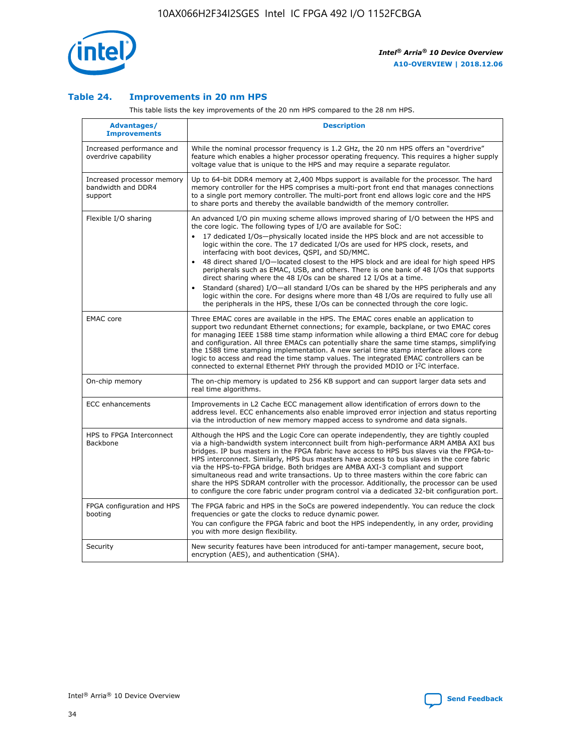

## **Table 24. Improvements in 20 nm HPS**

This table lists the key improvements of the 20 nm HPS compared to the 28 nm HPS.

| Advantages/<br><b>Improvements</b>                          | <b>Description</b>                                                                                                                                                                                                                                                                                                                                                                                                                                                                                                                                                                                                                                                                                                                                                                                                                                                                                                                                |
|-------------------------------------------------------------|---------------------------------------------------------------------------------------------------------------------------------------------------------------------------------------------------------------------------------------------------------------------------------------------------------------------------------------------------------------------------------------------------------------------------------------------------------------------------------------------------------------------------------------------------------------------------------------------------------------------------------------------------------------------------------------------------------------------------------------------------------------------------------------------------------------------------------------------------------------------------------------------------------------------------------------------------|
| Increased performance and<br>overdrive capability           | While the nominal processor frequency is 1.2 GHz, the 20 nm HPS offers an "overdrive"<br>feature which enables a higher processor operating frequency. This requires a higher supply<br>voltage value that is unique to the HPS and may require a separate regulator.                                                                                                                                                                                                                                                                                                                                                                                                                                                                                                                                                                                                                                                                             |
| Increased processor memory<br>bandwidth and DDR4<br>support | Up to 64-bit DDR4 memory at 2,400 Mbps support is available for the processor. The hard<br>memory controller for the HPS comprises a multi-port front end that manages connections<br>to a single port memory controller. The multi-port front end allows logic core and the HPS<br>to share ports and thereby the available bandwidth of the memory controller.                                                                                                                                                                                                                                                                                                                                                                                                                                                                                                                                                                                  |
| Flexible I/O sharing                                        | An advanced I/O pin muxing scheme allows improved sharing of I/O between the HPS and<br>the core logic. The following types of I/O are available for SoC:<br>17 dedicated I/Os-physically located inside the HPS block and are not accessible to<br>$\bullet$<br>logic within the core. The 17 dedicated I/Os are used for HPS clock, resets, and<br>interfacing with boot devices, QSPI, and SD/MMC.<br>48 direct shared I/O-located closest to the HPS block and are ideal for high speed HPS<br>$\bullet$<br>peripherals such as EMAC, USB, and others. There is one bank of 48 I/Os that supports<br>direct sharing where the 48 I/Os can be shared 12 I/Os at a time.<br>Standard (shared) I/O-all standard I/Os can be shared by the HPS peripherals and any<br>logic within the core. For designs where more than 48 I/Os are reguired to fully use all<br>the peripherals in the HPS, these I/Os can be connected through the core logic. |
| <b>EMAC</b> core                                            | Three EMAC cores are available in the HPS. The EMAC cores enable an application to<br>support two redundant Ethernet connections; for example, backplane, or two EMAC cores<br>for managing IEEE 1588 time stamp information while allowing a third EMAC core for debug<br>and configuration. All three EMACs can potentially share the same time stamps, simplifying<br>the 1588 time stamping implementation. A new serial time stamp interface allows core<br>logic to access and read the time stamp values. The integrated EMAC controllers can be<br>connected to external Ethernet PHY through the provided MDIO or I <sup>2</sup> C interface.                                                                                                                                                                                                                                                                                            |
| On-chip memory                                              | The on-chip memory is updated to 256 KB support and can support larger data sets and<br>real time algorithms.                                                                                                                                                                                                                                                                                                                                                                                                                                                                                                                                                                                                                                                                                                                                                                                                                                     |
| <b>ECC</b> enhancements                                     | Improvements in L2 Cache ECC management allow identification of errors down to the<br>address level. ECC enhancements also enable improved error injection and status reporting<br>via the introduction of new memory mapped access to syndrome and data signals.                                                                                                                                                                                                                                                                                                                                                                                                                                                                                                                                                                                                                                                                                 |
| HPS to FPGA Interconnect<br>Backbone                        | Although the HPS and the Logic Core can operate independently, they are tightly coupled<br>via a high-bandwidth system interconnect built from high-performance ARM AMBA AXI bus<br>bridges. IP bus masters in the FPGA fabric have access to HPS bus slaves via the FPGA-to-<br>HPS interconnect. Similarly, HPS bus masters have access to bus slaves in the core fabric<br>via the HPS-to-FPGA bridge. Both bridges are AMBA AXI-3 compliant and support<br>simultaneous read and write transactions. Up to three masters within the core fabric can<br>share the HPS SDRAM controller with the processor. Additionally, the processor can be used<br>to configure the core fabric under program control via a dedicated 32-bit configuration port.                                                                                                                                                                                            |
| FPGA configuration and HPS<br>booting                       | The FPGA fabric and HPS in the SoCs are powered independently. You can reduce the clock<br>frequencies or gate the clocks to reduce dynamic power.<br>You can configure the FPGA fabric and boot the HPS independently, in any order, providing<br>you with more design flexibility.                                                                                                                                                                                                                                                                                                                                                                                                                                                                                                                                                                                                                                                              |
| Security                                                    | New security features have been introduced for anti-tamper management, secure boot,<br>encryption (AES), and authentication (SHA).                                                                                                                                                                                                                                                                                                                                                                                                                                                                                                                                                                                                                                                                                                                                                                                                                |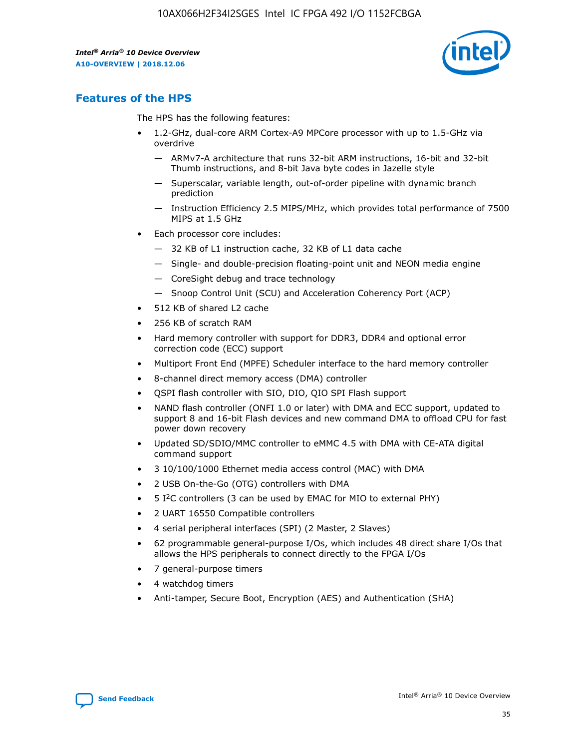

## **Features of the HPS**

The HPS has the following features:

- 1.2-GHz, dual-core ARM Cortex-A9 MPCore processor with up to 1.5-GHz via overdrive
	- ARMv7-A architecture that runs 32-bit ARM instructions, 16-bit and 32-bit Thumb instructions, and 8-bit Java byte codes in Jazelle style
	- Superscalar, variable length, out-of-order pipeline with dynamic branch prediction
	- Instruction Efficiency 2.5 MIPS/MHz, which provides total performance of 7500 MIPS at 1.5 GHz
- Each processor core includes:
	- 32 KB of L1 instruction cache, 32 KB of L1 data cache
	- Single- and double-precision floating-point unit and NEON media engine
	- CoreSight debug and trace technology
	- Snoop Control Unit (SCU) and Acceleration Coherency Port (ACP)
- 512 KB of shared L2 cache
- 256 KB of scratch RAM
- Hard memory controller with support for DDR3, DDR4 and optional error correction code (ECC) support
- Multiport Front End (MPFE) Scheduler interface to the hard memory controller
- 8-channel direct memory access (DMA) controller
- QSPI flash controller with SIO, DIO, QIO SPI Flash support
- NAND flash controller (ONFI 1.0 or later) with DMA and ECC support, updated to support 8 and 16-bit Flash devices and new command DMA to offload CPU for fast power down recovery
- Updated SD/SDIO/MMC controller to eMMC 4.5 with DMA with CE-ATA digital command support
- 3 10/100/1000 Ethernet media access control (MAC) with DMA
- 2 USB On-the-Go (OTG) controllers with DMA
- $\bullet$  5 I<sup>2</sup>C controllers (3 can be used by EMAC for MIO to external PHY)
- 2 UART 16550 Compatible controllers
- 4 serial peripheral interfaces (SPI) (2 Master, 2 Slaves)
- 62 programmable general-purpose I/Os, which includes 48 direct share I/Os that allows the HPS peripherals to connect directly to the FPGA I/Os
- 7 general-purpose timers
- 4 watchdog timers
- Anti-tamper, Secure Boot, Encryption (AES) and Authentication (SHA)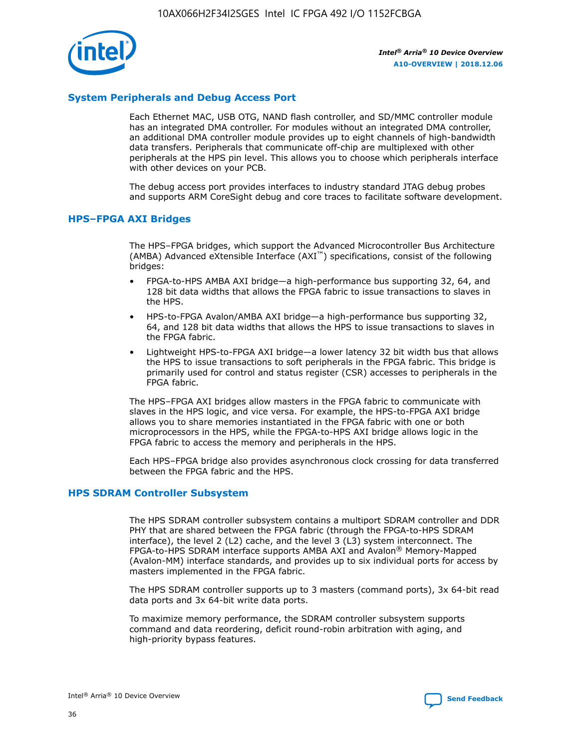

## **System Peripherals and Debug Access Port**

Each Ethernet MAC, USB OTG, NAND flash controller, and SD/MMC controller module has an integrated DMA controller. For modules without an integrated DMA controller, an additional DMA controller module provides up to eight channels of high-bandwidth data transfers. Peripherals that communicate off-chip are multiplexed with other peripherals at the HPS pin level. This allows you to choose which peripherals interface with other devices on your PCB.

The debug access port provides interfaces to industry standard JTAG debug probes and supports ARM CoreSight debug and core traces to facilitate software development.

## **HPS–FPGA AXI Bridges**

The HPS–FPGA bridges, which support the Advanced Microcontroller Bus Architecture (AMBA) Advanced eXtensible Interface (AXI™) specifications, consist of the following bridges:

- FPGA-to-HPS AMBA AXI bridge—a high-performance bus supporting 32, 64, and 128 bit data widths that allows the FPGA fabric to issue transactions to slaves in the HPS.
- HPS-to-FPGA Avalon/AMBA AXI bridge—a high-performance bus supporting 32, 64, and 128 bit data widths that allows the HPS to issue transactions to slaves in the FPGA fabric.
- Lightweight HPS-to-FPGA AXI bridge—a lower latency 32 bit width bus that allows the HPS to issue transactions to soft peripherals in the FPGA fabric. This bridge is primarily used for control and status register (CSR) accesses to peripherals in the FPGA fabric.

The HPS–FPGA AXI bridges allow masters in the FPGA fabric to communicate with slaves in the HPS logic, and vice versa. For example, the HPS-to-FPGA AXI bridge allows you to share memories instantiated in the FPGA fabric with one or both microprocessors in the HPS, while the FPGA-to-HPS AXI bridge allows logic in the FPGA fabric to access the memory and peripherals in the HPS.

Each HPS–FPGA bridge also provides asynchronous clock crossing for data transferred between the FPGA fabric and the HPS.

### **HPS SDRAM Controller Subsystem**

The HPS SDRAM controller subsystem contains a multiport SDRAM controller and DDR PHY that are shared between the FPGA fabric (through the FPGA-to-HPS SDRAM interface), the level 2 (L2) cache, and the level 3 (L3) system interconnect. The FPGA-to-HPS SDRAM interface supports AMBA AXI and Avalon® Memory-Mapped (Avalon-MM) interface standards, and provides up to six individual ports for access by masters implemented in the FPGA fabric.

The HPS SDRAM controller supports up to 3 masters (command ports), 3x 64-bit read data ports and 3x 64-bit write data ports.

To maximize memory performance, the SDRAM controller subsystem supports command and data reordering, deficit round-robin arbitration with aging, and high-priority bypass features.

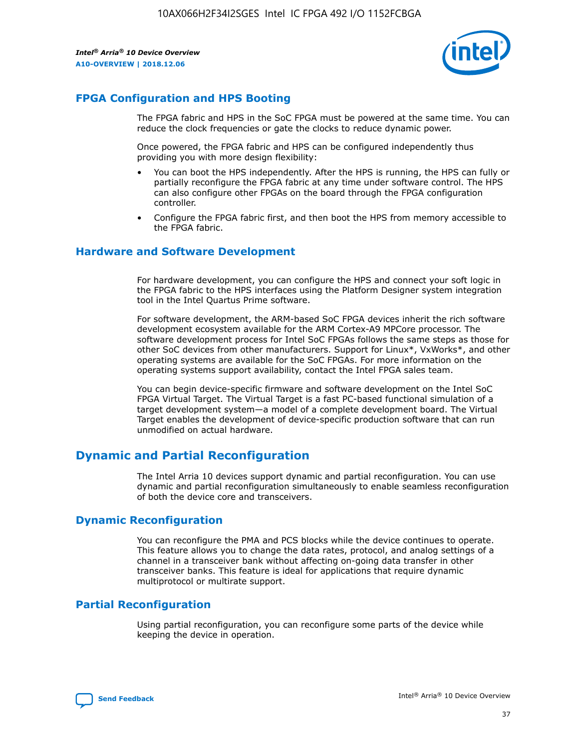

## **FPGA Configuration and HPS Booting**

The FPGA fabric and HPS in the SoC FPGA must be powered at the same time. You can reduce the clock frequencies or gate the clocks to reduce dynamic power.

Once powered, the FPGA fabric and HPS can be configured independently thus providing you with more design flexibility:

- You can boot the HPS independently. After the HPS is running, the HPS can fully or partially reconfigure the FPGA fabric at any time under software control. The HPS can also configure other FPGAs on the board through the FPGA configuration controller.
- Configure the FPGA fabric first, and then boot the HPS from memory accessible to the FPGA fabric.

## **Hardware and Software Development**

For hardware development, you can configure the HPS and connect your soft logic in the FPGA fabric to the HPS interfaces using the Platform Designer system integration tool in the Intel Quartus Prime software.

For software development, the ARM-based SoC FPGA devices inherit the rich software development ecosystem available for the ARM Cortex-A9 MPCore processor. The software development process for Intel SoC FPGAs follows the same steps as those for other SoC devices from other manufacturers. Support for Linux\*, VxWorks\*, and other operating systems are available for the SoC FPGAs. For more information on the operating systems support availability, contact the Intel FPGA sales team.

You can begin device-specific firmware and software development on the Intel SoC FPGA Virtual Target. The Virtual Target is a fast PC-based functional simulation of a target development system—a model of a complete development board. The Virtual Target enables the development of device-specific production software that can run unmodified on actual hardware.

## **Dynamic and Partial Reconfiguration**

The Intel Arria 10 devices support dynamic and partial reconfiguration. You can use dynamic and partial reconfiguration simultaneously to enable seamless reconfiguration of both the device core and transceivers.

## **Dynamic Reconfiguration**

You can reconfigure the PMA and PCS blocks while the device continues to operate. This feature allows you to change the data rates, protocol, and analog settings of a channel in a transceiver bank without affecting on-going data transfer in other transceiver banks. This feature is ideal for applications that require dynamic multiprotocol or multirate support.

## **Partial Reconfiguration**

Using partial reconfiguration, you can reconfigure some parts of the device while keeping the device in operation.

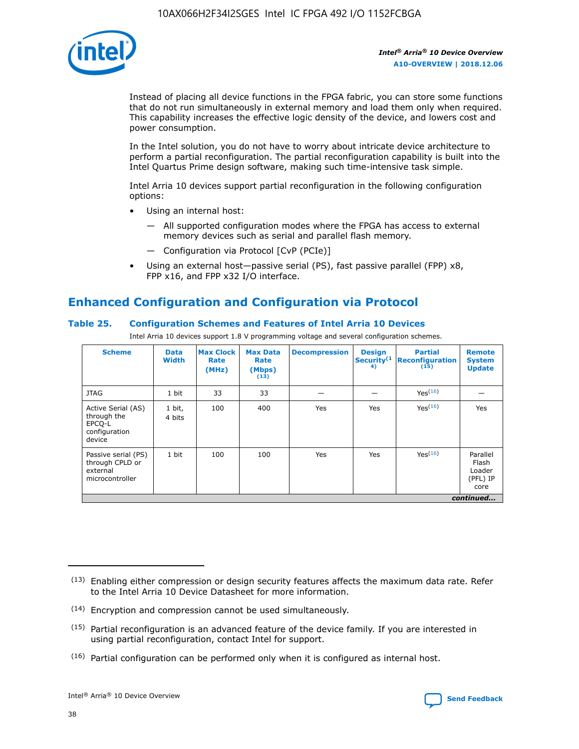

Instead of placing all device functions in the FPGA fabric, you can store some functions that do not run simultaneously in external memory and load them only when required. This capability increases the effective logic density of the device, and lowers cost and power consumption.

In the Intel solution, you do not have to worry about intricate device architecture to perform a partial reconfiguration. The partial reconfiguration capability is built into the Intel Quartus Prime design software, making such time-intensive task simple.

Intel Arria 10 devices support partial reconfiguration in the following configuration options:

- Using an internal host:
	- All supported configuration modes where the FPGA has access to external memory devices such as serial and parallel flash memory.
	- Configuration via Protocol [CvP (PCIe)]
- Using an external host—passive serial (PS), fast passive parallel (FPP) x8, FPP x16, and FPP x32 I/O interface.

# **Enhanced Configuration and Configuration via Protocol**

## **Table 25. Configuration Schemes and Features of Intel Arria 10 Devices**

Intel Arria 10 devices support 1.8 V programming voltage and several configuration schemes.

| <b>Scheme</b>                                                          | <b>Data</b><br><b>Width</b> | <b>Max Clock</b><br>Rate<br>(MHz) | <b>Max Data</b><br>Rate<br>(Mbps)<br>(13) | <b>Decompression</b> | <b>Design</b><br>Security <sup>(1</sup><br>4) | <b>Partial</b><br><b>Reconfiguration</b><br>(15) | <b>Remote</b><br><b>System</b><br><b>Update</b> |
|------------------------------------------------------------------------|-----------------------------|-----------------------------------|-------------------------------------------|----------------------|-----------------------------------------------|--------------------------------------------------|-------------------------------------------------|
| <b>JTAG</b>                                                            | 1 bit                       | 33                                | 33                                        |                      |                                               | Yes(16)                                          |                                                 |
| Active Serial (AS)<br>through the<br>EPCO-L<br>configuration<br>device | 1 bit,<br>4 bits            | 100                               | 400                                       | Yes                  | Yes                                           | $Y_{PS}(16)$                                     | Yes                                             |
| Passive serial (PS)<br>through CPLD or<br>external<br>microcontroller  | 1 bit                       | 100                               | 100                                       | Yes                  | Yes                                           | Yes <sup>(16)</sup>                              | Parallel<br>Flash<br>Loader<br>(PFL) IP<br>core |
|                                                                        |                             |                                   |                                           |                      |                                               |                                                  | continued                                       |

<sup>(13)</sup> Enabling either compression or design security features affects the maximum data rate. Refer to the Intel Arria 10 Device Datasheet for more information.

<sup>(14)</sup> Encryption and compression cannot be used simultaneously.

 $(15)$  Partial reconfiguration is an advanced feature of the device family. If you are interested in using partial reconfiguration, contact Intel for support.

 $(16)$  Partial configuration can be performed only when it is configured as internal host.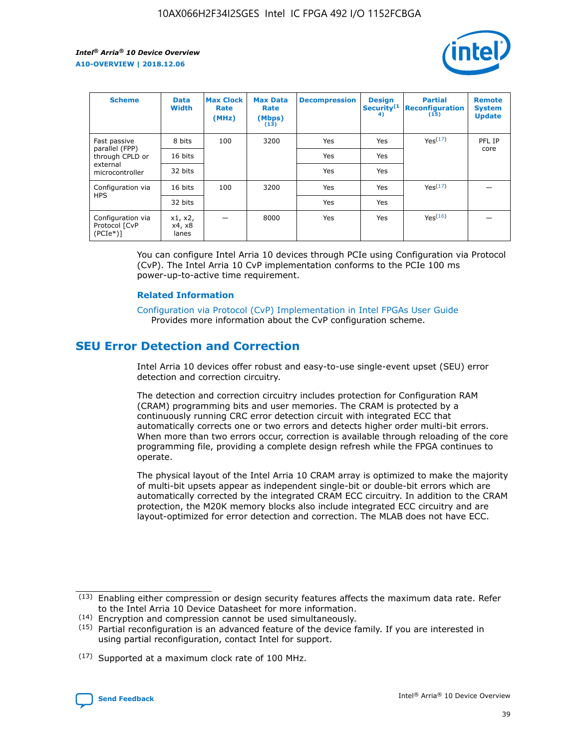

| <b>Scheme</b>                                   | <b>Data</b><br><b>Width</b> | <b>Max Clock</b><br>Rate<br>(MHz) | <b>Max Data</b><br>Rate<br>(Mbps)<br>(13) | <b>Decompression</b> | <b>Design</b><br>Security <sup>(1</sup><br>4) | <b>Partial</b><br><b>Reconfiguration</b><br>(15) | <b>Remote</b><br><b>System</b><br><b>Update</b> |
|-------------------------------------------------|-----------------------------|-----------------------------------|-------------------------------------------|----------------------|-----------------------------------------------|--------------------------------------------------|-------------------------------------------------|
| Fast passive                                    | 8 bits                      | 100                               | 3200                                      | Yes                  | Yes                                           | Yes(17)                                          | PFL IP                                          |
| parallel (FPP)<br>through CPLD or               | 16 bits                     |                                   |                                           | Yes                  | Yes                                           |                                                  | core                                            |
| external<br>microcontroller                     | 32 bits                     |                                   |                                           | Yes                  | Yes                                           |                                                  |                                                 |
| Configuration via                               | 16 bits                     | 100                               | 3200                                      | Yes                  | Yes                                           | Yes <sup>(17)</sup>                              |                                                 |
| <b>HPS</b>                                      | 32 bits                     |                                   |                                           | Yes                  | Yes                                           |                                                  |                                                 |
| Configuration via<br>Protocol [CvP<br>$(PCIe*)$ | x1, x2,<br>x4, x8<br>lanes  |                                   | 8000                                      | Yes                  | Yes                                           | Yes <sup>(16)</sup>                              |                                                 |

You can configure Intel Arria 10 devices through PCIe using Configuration via Protocol (CvP). The Intel Arria 10 CvP implementation conforms to the PCIe 100 ms power-up-to-active time requirement.

#### **Related Information**

[Configuration via Protocol \(CvP\) Implementation in Intel FPGAs User Guide](https://www.intel.com/content/www/us/en/programmable/documentation/dsu1441819344145.html#dsu1442269728522) Provides more information about the CvP configuration scheme.

## **SEU Error Detection and Correction**

Intel Arria 10 devices offer robust and easy-to-use single-event upset (SEU) error detection and correction circuitry.

The detection and correction circuitry includes protection for Configuration RAM (CRAM) programming bits and user memories. The CRAM is protected by a continuously running CRC error detection circuit with integrated ECC that automatically corrects one or two errors and detects higher order multi-bit errors. When more than two errors occur, correction is available through reloading of the core programming file, providing a complete design refresh while the FPGA continues to operate.

The physical layout of the Intel Arria 10 CRAM array is optimized to make the majority of multi-bit upsets appear as independent single-bit or double-bit errors which are automatically corrected by the integrated CRAM ECC circuitry. In addition to the CRAM protection, the M20K memory blocks also include integrated ECC circuitry and are layout-optimized for error detection and correction. The MLAB does not have ECC.

(14) Encryption and compression cannot be used simultaneously.

<sup>(17)</sup> Supported at a maximum clock rate of 100 MHz.



 $(13)$  Enabling either compression or design security features affects the maximum data rate. Refer to the Intel Arria 10 Device Datasheet for more information.

 $(15)$  Partial reconfiguration is an advanced feature of the device family. If you are interested in using partial reconfiguration, contact Intel for support.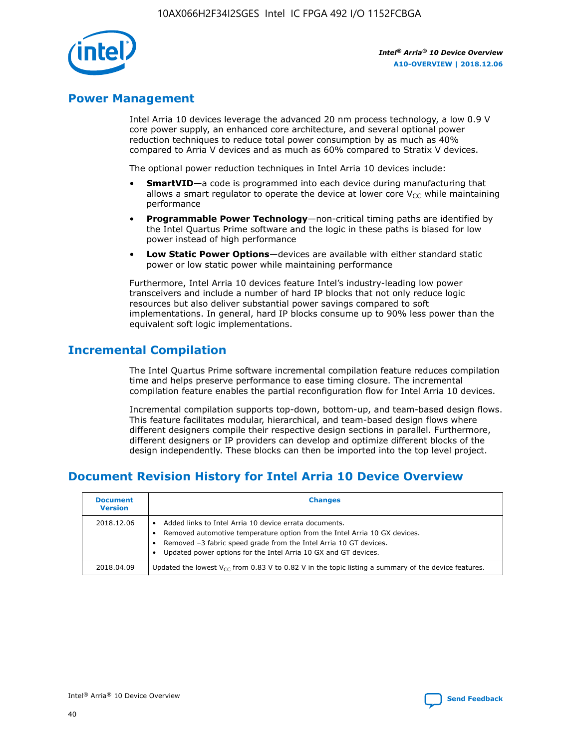

## **Power Management**

Intel Arria 10 devices leverage the advanced 20 nm process technology, a low 0.9 V core power supply, an enhanced core architecture, and several optional power reduction techniques to reduce total power consumption by as much as 40% compared to Arria V devices and as much as 60% compared to Stratix V devices.

The optional power reduction techniques in Intel Arria 10 devices include:

- **SmartVID**—a code is programmed into each device during manufacturing that allows a smart regulator to operate the device at lower core  $V_{CC}$  while maintaining performance
- **Programmable Power Technology**—non-critical timing paths are identified by the Intel Quartus Prime software and the logic in these paths is biased for low power instead of high performance
- **Low Static Power Options**—devices are available with either standard static power or low static power while maintaining performance

Furthermore, Intel Arria 10 devices feature Intel's industry-leading low power transceivers and include a number of hard IP blocks that not only reduce logic resources but also deliver substantial power savings compared to soft implementations. In general, hard IP blocks consume up to 90% less power than the equivalent soft logic implementations.

## **Incremental Compilation**

The Intel Quartus Prime software incremental compilation feature reduces compilation time and helps preserve performance to ease timing closure. The incremental compilation feature enables the partial reconfiguration flow for Intel Arria 10 devices.

Incremental compilation supports top-down, bottom-up, and team-based design flows. This feature facilitates modular, hierarchical, and team-based design flows where different designers compile their respective design sections in parallel. Furthermore, different designers or IP providers can develop and optimize different blocks of the design independently. These blocks can then be imported into the top level project.

# **Document Revision History for Intel Arria 10 Device Overview**

| <b>Document</b><br><b>Version</b> | <b>Changes</b>                                                                                                                                                                                                                                                              |
|-----------------------------------|-----------------------------------------------------------------------------------------------------------------------------------------------------------------------------------------------------------------------------------------------------------------------------|
| 2018.12.06                        | Added links to Intel Arria 10 device errata documents.<br>Removed automotive temperature option from the Intel Arria 10 GX devices.<br>Removed -3 fabric speed grade from the Intel Arria 10 GT devices.<br>Updated power options for the Intel Arria 10 GX and GT devices. |
| 2018.04.09                        | Updated the lowest $V_{CC}$ from 0.83 V to 0.82 V in the topic listing a summary of the device features.                                                                                                                                                                    |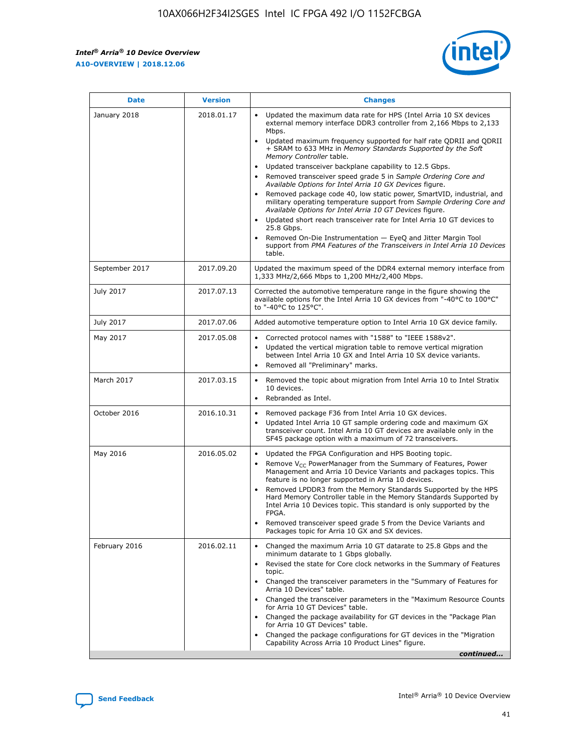*Intel® Arria® 10 Device Overview* **A10-OVERVIEW | 2018.12.06**



| <b>Date</b>    | <b>Version</b> | <b>Changes</b>                                                                                                                                                                                                                                                                                                                                                                                                                                                                                                                                                                                                                                                                                                                                                                                                                                                                                                                                                            |
|----------------|----------------|---------------------------------------------------------------------------------------------------------------------------------------------------------------------------------------------------------------------------------------------------------------------------------------------------------------------------------------------------------------------------------------------------------------------------------------------------------------------------------------------------------------------------------------------------------------------------------------------------------------------------------------------------------------------------------------------------------------------------------------------------------------------------------------------------------------------------------------------------------------------------------------------------------------------------------------------------------------------------|
| January 2018   | 2018.01.17     | Updated the maximum data rate for HPS (Intel Arria 10 SX devices<br>external memory interface DDR3 controller from 2,166 Mbps to 2,133<br>Mbps.<br>Updated maximum frequency supported for half rate QDRII and QDRII<br>+ SRAM to 633 MHz in Memory Standards Supported by the Soft<br>Memory Controller table.<br>Updated transceiver backplane capability to 12.5 Gbps.<br>$\bullet$<br>Removed transceiver speed grade 5 in Sample Ordering Core and<br>Available Options for Intel Arria 10 GX Devices figure.<br>Removed package code 40, low static power, SmartVID, industrial, and<br>military operating temperature support from Sample Ordering Core and<br>Available Options for Intel Arria 10 GT Devices figure.<br>Updated short reach transceiver rate for Intel Arria 10 GT devices to<br>25.8 Gbps.<br>Removed On-Die Instrumentation - EyeQ and Jitter Margin Tool<br>support from PMA Features of the Transceivers in Intel Arria 10 Devices<br>table. |
| September 2017 | 2017.09.20     | Updated the maximum speed of the DDR4 external memory interface from<br>1,333 MHz/2,666 Mbps to 1,200 MHz/2,400 Mbps.                                                                                                                                                                                                                                                                                                                                                                                                                                                                                                                                                                                                                                                                                                                                                                                                                                                     |
| July 2017      | 2017.07.13     | Corrected the automotive temperature range in the figure showing the<br>available options for the Intel Arria 10 GX devices from "-40°C to 100°C"<br>to "-40°C to 125°C".                                                                                                                                                                                                                                                                                                                                                                                                                                                                                                                                                                                                                                                                                                                                                                                                 |
| July 2017      | 2017.07.06     | Added automotive temperature option to Intel Arria 10 GX device family.                                                                                                                                                                                                                                                                                                                                                                                                                                                                                                                                                                                                                                                                                                                                                                                                                                                                                                   |
| May 2017       | 2017.05.08     | Corrected protocol names with "1588" to "IEEE 1588v2".<br>Updated the vertical migration table to remove vertical migration<br>between Intel Arria 10 GX and Intel Arria 10 SX device variants.<br>Removed all "Preliminary" marks.                                                                                                                                                                                                                                                                                                                                                                                                                                                                                                                                                                                                                                                                                                                                       |
| March 2017     | 2017.03.15     | Removed the topic about migration from Intel Arria 10 to Intel Stratix<br>10 devices.<br>Rebranded as Intel.<br>$\bullet$                                                                                                                                                                                                                                                                                                                                                                                                                                                                                                                                                                                                                                                                                                                                                                                                                                                 |
| October 2016   | 2016.10.31     | Removed package F36 from Intel Arria 10 GX devices.<br>Updated Intel Arria 10 GT sample ordering code and maximum GX<br>$\bullet$<br>transceiver count. Intel Arria 10 GT devices are available only in the<br>SF45 package option with a maximum of 72 transceivers.                                                                                                                                                                                                                                                                                                                                                                                                                                                                                                                                                                                                                                                                                                     |
| May 2016       | 2016.05.02     | Updated the FPGA Configuration and HPS Booting topic.<br>Remove V <sub>CC</sub> PowerManager from the Summary of Features, Power<br>Management and Arria 10 Device Variants and packages topics. This<br>feature is no longer supported in Arria 10 devices.<br>Removed LPDDR3 from the Memory Standards Supported by the HPS<br>Hard Memory Controller table in the Memory Standards Supported by<br>Intel Arria 10 Devices topic. This standard is only supported by the<br>FPGA.<br>Removed transceiver speed grade 5 from the Device Variants and<br>Packages topic for Arria 10 GX and SX devices.                                                                                                                                                                                                                                                                                                                                                                   |
| February 2016  | 2016.02.11     | Changed the maximum Arria 10 GT datarate to 25.8 Gbps and the<br>minimum datarate to 1 Gbps globally.<br>Revised the state for Core clock networks in the Summary of Features<br>$\bullet$<br>topic.<br>Changed the transceiver parameters in the "Summary of Features for<br>Arria 10 Devices" table.<br>• Changed the transceiver parameters in the "Maximum Resource Counts<br>for Arria 10 GT Devices" table.<br>• Changed the package availability for GT devices in the "Package Plan<br>for Arria 10 GT Devices" table.<br>Changed the package configurations for GT devices in the "Migration"<br>Capability Across Arria 10 Product Lines" figure.<br>continued                                                                                                                                                                                                                                                                                                  |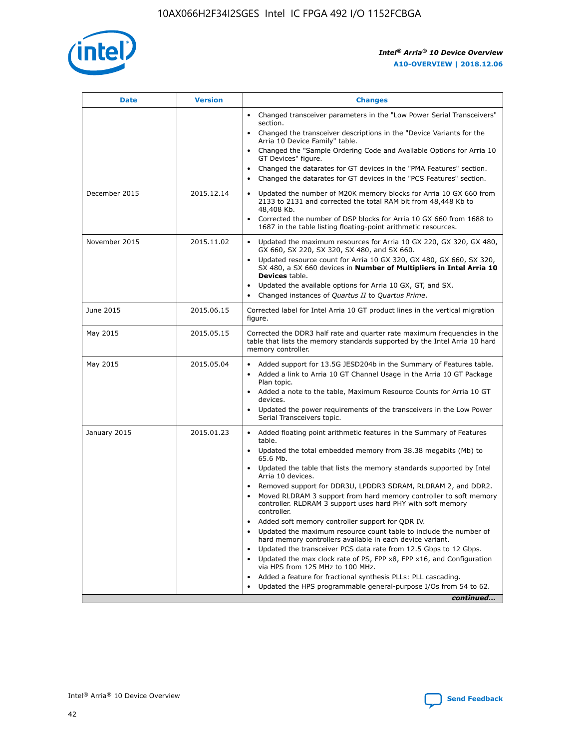

| <b>Date</b>   | <b>Version</b> | <b>Changes</b>                                                                                                                                                               |
|---------------|----------------|------------------------------------------------------------------------------------------------------------------------------------------------------------------------------|
|               |                | Changed transceiver parameters in the "Low Power Serial Transceivers"<br>$\bullet$<br>section.                                                                               |
|               |                | • Changed the transceiver descriptions in the "Device Variants for the<br>Arria 10 Device Family" table.                                                                     |
|               |                | • Changed the "Sample Ordering Code and Available Options for Arria 10<br>GT Devices" figure.                                                                                |
|               |                | Changed the datarates for GT devices in the "PMA Features" section.                                                                                                          |
|               |                | Changed the datarates for GT devices in the "PCS Features" section.<br>$\bullet$                                                                                             |
| December 2015 | 2015.12.14     | Updated the number of M20K memory blocks for Arria 10 GX 660 from<br>2133 to 2131 and corrected the total RAM bit from 48,448 Kb to<br>48,408 Kb.                            |
|               |                | Corrected the number of DSP blocks for Arria 10 GX 660 from 1688 to<br>$\bullet$<br>1687 in the table listing floating-point arithmetic resources.                           |
| November 2015 | 2015.11.02     | Updated the maximum resources for Arria 10 GX 220, GX 320, GX 480,<br>GX 660, SX 220, SX 320, SX 480, and SX 660.                                                            |
|               |                | Updated resource count for Arria 10 GX 320, GX 480, GX 660, SX 320,<br>SX 480, a SX 660 devices in Number of Multipliers in Intel Arria 10<br><b>Devices</b> table.          |
|               |                | Updated the available options for Arria 10 GX, GT, and SX.<br>$\bullet$                                                                                                      |
|               |                | Changed instances of Quartus II to Quartus Prime.<br>$\bullet$                                                                                                               |
| June 2015     | 2015.06.15     | Corrected label for Intel Arria 10 GT product lines in the vertical migration<br>figure.                                                                                     |
| May 2015      | 2015.05.15     | Corrected the DDR3 half rate and quarter rate maximum frequencies in the<br>table that lists the memory standards supported by the Intel Arria 10 hard<br>memory controller. |
| May 2015      | 2015.05.04     | • Added support for 13.5G JESD204b in the Summary of Features table.                                                                                                         |
|               |                | Added a link to Arria 10 GT Channel Usage in the Arria 10 GT Package<br>$\bullet$<br>Plan topic.                                                                             |
|               |                | • Added a note to the table, Maximum Resource Counts for Arria 10 GT<br>devices.                                                                                             |
|               |                | • Updated the power requirements of the transceivers in the Low Power<br>Serial Transceivers topic.                                                                          |
| January 2015  | 2015.01.23     | • Added floating point arithmetic features in the Summary of Features<br>table.                                                                                              |
|               |                | • Updated the total embedded memory from 38.38 megabits (Mb) to<br>65.6 Mb.                                                                                                  |
|               |                | • Updated the table that lists the memory standards supported by Intel<br>Arria 10 devices.                                                                                  |
|               |                | Removed support for DDR3U, LPDDR3 SDRAM, RLDRAM 2, and DDR2.                                                                                                                 |
|               |                | Moved RLDRAM 3 support from hard memory controller to soft memory<br>controller. RLDRAM 3 support uses hard PHY with soft memory<br>controller.                              |
|               |                | Added soft memory controller support for QDR IV.                                                                                                                             |
|               |                | Updated the maximum resource count table to include the number of<br>hard memory controllers available in each device variant.                                               |
|               |                | Updated the transceiver PCS data rate from 12.5 Gbps to 12 Gbps.                                                                                                             |
|               |                | Updated the max clock rate of PS, FPP x8, FPP x16, and Configuration<br>via HPS from 125 MHz to 100 MHz.                                                                     |
|               |                | Added a feature for fractional synthesis PLLs: PLL cascading.                                                                                                                |
|               |                | Updated the HPS programmable general-purpose I/Os from 54 to 62.<br>$\bullet$                                                                                                |
|               |                | continued                                                                                                                                                                    |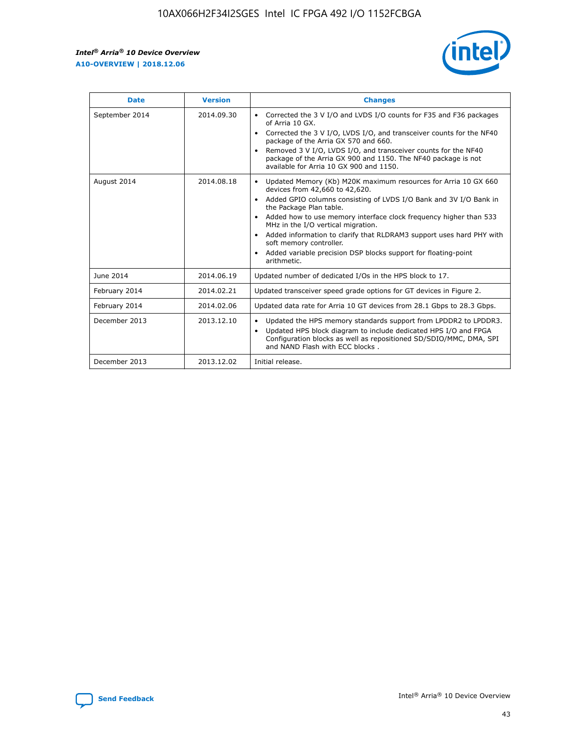

| <b>Date</b>    | <b>Version</b> | <b>Changes</b>                                                                                                                                                                                                                                                                                                                                                                                                                                                                                                                                      |
|----------------|----------------|-----------------------------------------------------------------------------------------------------------------------------------------------------------------------------------------------------------------------------------------------------------------------------------------------------------------------------------------------------------------------------------------------------------------------------------------------------------------------------------------------------------------------------------------------------|
| September 2014 | 2014.09.30     | Corrected the 3 V I/O and LVDS I/O counts for F35 and F36 packages<br>$\bullet$<br>of Arria 10 GX.<br>Corrected the 3 V I/O, LVDS I/O, and transceiver counts for the NF40<br>$\bullet$<br>package of the Arria GX 570 and 660.<br>Removed 3 V I/O, LVDS I/O, and transceiver counts for the NF40<br>$\bullet$<br>package of the Arria GX 900 and 1150. The NF40 package is not<br>available for Arria 10 GX 900 and 1150.                                                                                                                          |
| August 2014    | 2014.08.18     | Updated Memory (Kb) M20K maximum resources for Arria 10 GX 660<br>devices from 42,660 to 42,620.<br>Added GPIO columns consisting of LVDS I/O Bank and 3V I/O Bank in<br>$\bullet$<br>the Package Plan table.<br>Added how to use memory interface clock frequency higher than 533<br>$\bullet$<br>MHz in the I/O vertical migration.<br>Added information to clarify that RLDRAM3 support uses hard PHY with<br>$\bullet$<br>soft memory controller.<br>Added variable precision DSP blocks support for floating-point<br>$\bullet$<br>arithmetic. |
| June 2014      | 2014.06.19     | Updated number of dedicated I/Os in the HPS block to 17.                                                                                                                                                                                                                                                                                                                                                                                                                                                                                            |
| February 2014  | 2014.02.21     | Updated transceiver speed grade options for GT devices in Figure 2.                                                                                                                                                                                                                                                                                                                                                                                                                                                                                 |
| February 2014  | 2014.02.06     | Updated data rate for Arria 10 GT devices from 28.1 Gbps to 28.3 Gbps.                                                                                                                                                                                                                                                                                                                                                                                                                                                                              |
| December 2013  | 2013.12.10     | Updated the HPS memory standards support from LPDDR2 to LPDDR3.<br>$\bullet$<br>Updated HPS block diagram to include dedicated HPS I/O and FPGA<br>$\bullet$<br>Configuration blocks as well as repositioned SD/SDIO/MMC, DMA, SPI<br>and NAND Flash with ECC blocks.                                                                                                                                                                                                                                                                               |
| December 2013  | 2013.12.02     | Initial release.                                                                                                                                                                                                                                                                                                                                                                                                                                                                                                                                    |